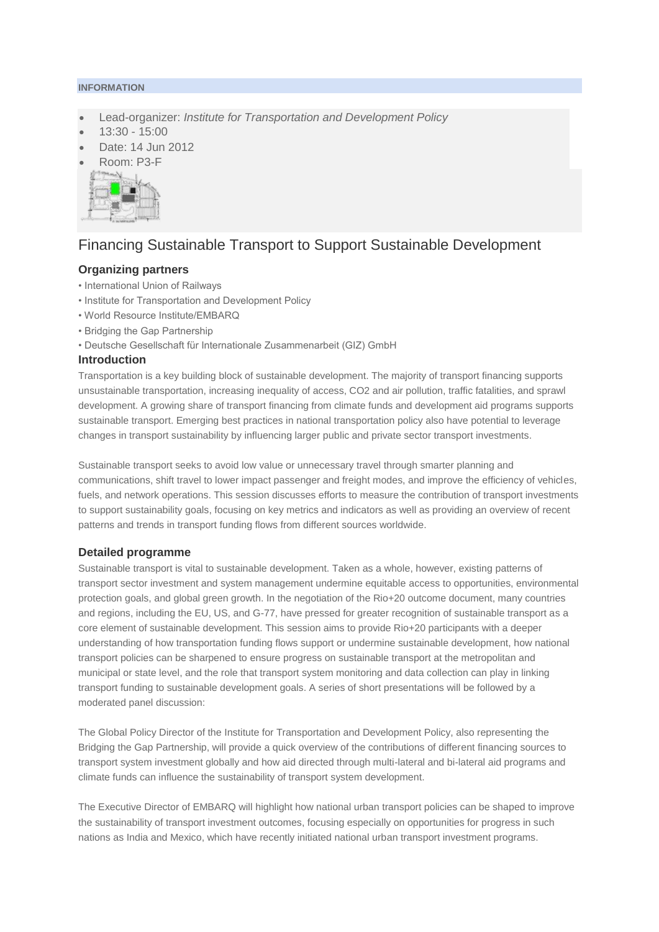#### **INFORMATION**

- Lead-organizer: *Institute for Transportation and Development Policy*
- 13:30 15:00
- Date: 14 Jun 2012
- Room: P3-F



# Financing Sustainable Transport to Support Sustainable Development

## **Organizing partners**

- International Union of Railways
- Institute for Transportation and Development Policy
- World Resource Institute/EMBARQ
- Bridging the Gap Partnership
- Deutsche Gesellschaft für Internationale Zusammenarbeit (GIZ) GmbH

#### **Introduction**

Transportation is a key building block of sustainable development. The majority of transport financing supports unsustainable transportation, increasing inequality of access, CO2 and air pollution, traffic fatalities, and sprawl development. A growing share of transport financing from climate funds and development aid programs supports sustainable transport. Emerging best practices in national transportation policy also have potential to leverage changes in transport sustainability by influencing larger public and private sector transport investments.

Sustainable transport seeks to avoid low value or unnecessary travel through smarter planning and communications, shift travel to lower impact passenger and freight modes, and improve the efficiency of vehicles, fuels, and network operations. This session discusses efforts to measure the contribution of transport investments to support sustainability goals, focusing on key metrics and indicators as well as providing an overview of recent patterns and trends in transport funding flows from different sources worldwide.

#### **Detailed programme**

Sustainable transport is vital to sustainable development. Taken as a whole, however, existing patterns of transport sector investment and system management undermine equitable access to opportunities, environmental protection goals, and global green growth. In the negotiation of the Rio+20 outcome document, many countries and regions, including the EU, US, and G-77, have pressed for greater recognition of sustainable transport as a core element of sustainable development. This session aims to provide Rio+20 participants with a deeper understanding of how transportation funding flows support or undermine sustainable development, how national transport policies can be sharpened to ensure progress on sustainable transport at the metropolitan and municipal or state level, and the role that transport system monitoring and data collection can play in linking transport funding to sustainable development goals. A series of short presentations will be followed by a moderated panel discussion:

The Global Policy Director of the Institute for Transportation and Development Policy, also representing the Bridging the Gap Partnership, will provide a quick overview of the contributions of different financing sources to transport system investment globally and how aid directed through multi-lateral and bi-lateral aid programs and climate funds can influence the sustainability of transport system development.

The Executive Director of EMBARQ will highlight how national urban transport policies can be shaped to improve the sustainability of transport investment outcomes, focusing especially on opportunities for progress in such nations as India and Mexico, which have recently initiated national urban transport investment programs.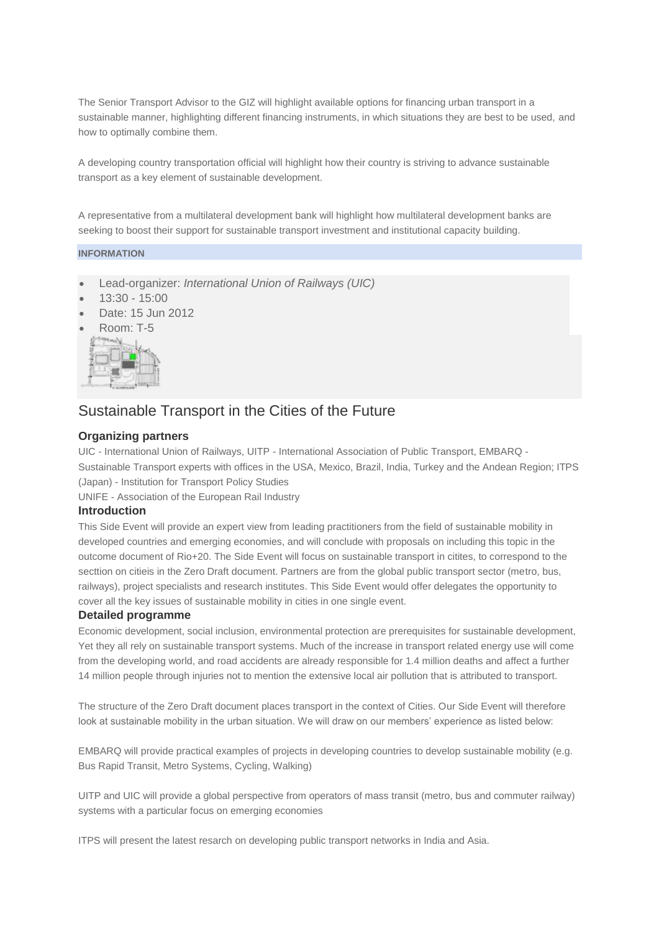The Senior Transport Advisor to the GIZ will highlight available options for financing urban transport in a sustainable manner, highlighting different financing instruments, in which situations they are best to be used, and how to optimally combine them.

A developing country transportation official will highlight how their country is striving to advance sustainable transport as a key element of sustainable development.

A representative from a multilateral development bank will highlight how multilateral development banks are seeking to boost their support for sustainable transport investment and institutional capacity building.

#### **INFORMATION**

- Lead-organizer: *International Union of Railways (UIC)*
- 13:30 15:00
- Date: 15 Jun 2012
- Room: T-5



# Sustainable Transport in the Cities of the Future

### **Organizing partners**

UIC - International Union of Railways, UITP - International Association of Public Transport, EMBARQ - Sustainable Transport experts with offices in the USA, Mexico, Brazil, India, Turkey and the Andean Region; ITPS

(Japan) - Institution for Transport Policy Studies

UNIFE - Association of the European Rail Industry

#### **Introduction**

This Side Event will provide an expert view from leading practitioners from the field of sustainable mobility in developed countries and emerging economies, and will conclude with proposals on including this topic in the outcome document of Rio+20. The Side Event will focus on sustainable transport in citites, to correspond to the secttion on citieis in the Zero Draft document. Partners are from the global public transport sector (metro, bus, railways), project specialists and research institutes. This Side Event would offer delegates the opportunity to cover all the key issues of sustainable mobility in cities in one single event.

#### **Detailed programme**

Economic development, social inclusion, environmental protection are prerequisites for sustainable development, Yet they all rely on sustainable transport systems. Much of the increase in transport related energy use will come from the developing world, and road accidents are already responsible for 1.4 million deaths and affect a further 14 million people through injuries not to mention the extensive local air pollution that is attributed to transport.

The structure of the Zero Draft document places transport in the context of Cities. Our Side Event will therefore look at sustainable mobility in the urban situation. We will draw on our members' experience as listed below:

EMBARQ will provide practical examples of projects in developing countries to develop sustainable mobility (e.g. Bus Rapid Transit, Metro Systems, Cycling, Walking)

UITP and UIC will provide a global perspective from operators of mass transit (metro, bus and commuter railway) systems with a particular focus on emerging economies

ITPS will present the latest resarch on developing public transport networks in India and Asia.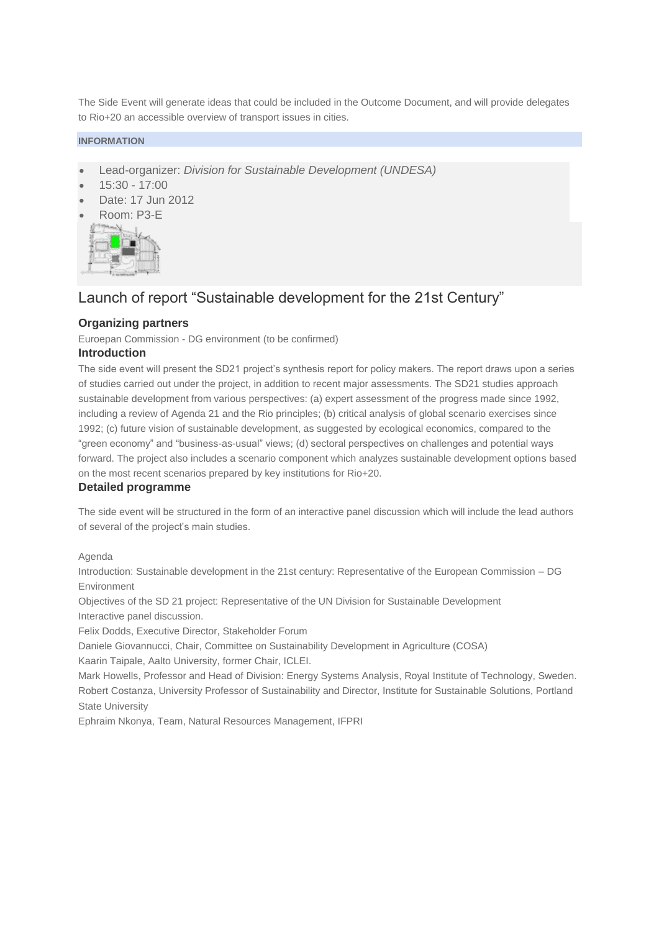The Side Event will generate ideas that could be included in the Outcome Document, and will provide delegates to Rio+20 an accessible overview of transport issues in cities.

#### **INFORMATION**

- Lead-organizer: *Division for Sustainable Development (UNDESA)*
- 15:30 17:00
- Date: 17 Jun 2012
- Room: P3-E



## Launch of report "Sustainable development for the 21st Century"

## **Organizing partners**

Euroepan Commission - DG environment (to be confirmed)

#### **Introduction**

The side event will present the SD21 project's synthesis report for policy makers. The report draws upon a series of studies carried out under the project, in addition to recent major assessments. The SD21 studies approach sustainable development from various perspectives: (a) expert assessment of the progress made since 1992, including a review of Agenda 21 and the Rio principles; (b) critical analysis of global scenario exercises since 1992; (c) future vision of sustainable development, as suggested by ecological economics, compared to the "green economy" and "business-as-usual" views; (d) sectoral perspectives on challenges and potential ways forward. The project also includes a scenario component which analyzes sustainable development options based on the most recent scenarios prepared by key institutions for Rio+20.

#### **Detailed programme**

The side event will be structured in the form of an interactive panel discussion which will include the lead authors of several of the project's main studies.

Agenda

Introduction: Sustainable development in the 21st century: Representative of the European Commission – DG Environment

Objectives of the SD 21 project: Representative of the UN Division for Sustainable Development Interactive panel discussion.

Felix Dodds, Executive Director, Stakeholder Forum

Daniele Giovannucci, Chair, Committee on Sustainability Development in Agriculture (COSA)

Kaarin Taipale, Aalto University, former Chair, ICLEI.

Mark Howells, Professor and Head of Division: Energy Systems Analysis, Royal Institute of Technology, Sweden. Robert Costanza, University Professor of Sustainability and Director, Institute for Sustainable Solutions, Portland State University

Ephraim Nkonya, Team, Natural Resources Management, IFPRI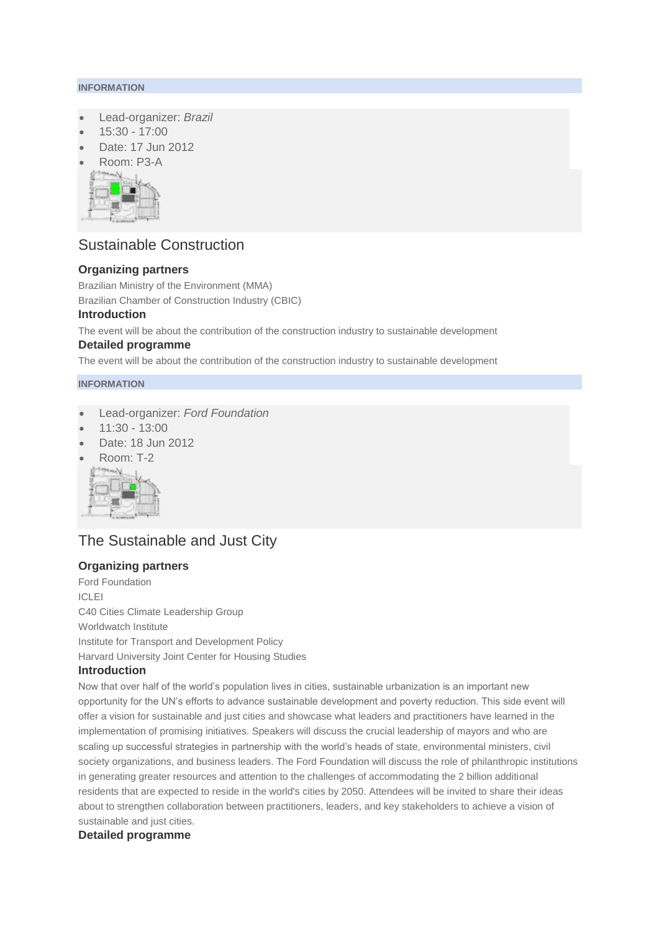#### **INFORMATION**

- Lead-organizer: *Brazil*
- 15:30 17:00
- Date: 17 Jun 2012
- Room: P3-A



# Sustainable Construction

## **Organizing partners**

Brazilian Ministry of the Environment (MMA)

Brazilian Chamber of Construction Industry (CBIC)

### **Introduction**

The event will be about the contribution of the construction industry to sustainable development

#### **Detailed programme**

The event will be about the contribution of the construction industry to sustainable development

### **INFORMATION**

- Lead-organizer: *Ford Foundation*
- 11:30 13:00
- Date: 18 Jun 2012
- Room: T-2



# The Sustainable and Just City

## **Organizing partners**

Ford Foundation ICLEI C40 Cities Climate Leadership Group Worldwatch Institute Institute for Transport and Development Policy Harvard University Joint Center for Housing Studies

## **Introduction**

Now that over half of the world's population lives in cities, sustainable urbanization is an important new opportunity for the UN's efforts to advance sustainable development and poverty reduction. This side event will offer a vision for sustainable and just cities and showcase what leaders and practitioners have learned in the implementation of promising initiatives. Speakers will discuss the crucial leadership of mayors and who are scaling up successful strategies in partnership with the world's heads of state, environmental ministers, civil society organizations, and business leaders. The Ford Foundation will discuss the role of philanthropic institutions in generating greater resources and attention to the challenges of accommodating the 2 billion additional residents that are expected to reside in the world's cities by 2050. Attendees will be invited to share their ideas about to strengthen collaboration between practitioners, leaders, and key stakeholders to achieve a vision of sustainable and just cities.

## **Detailed programme**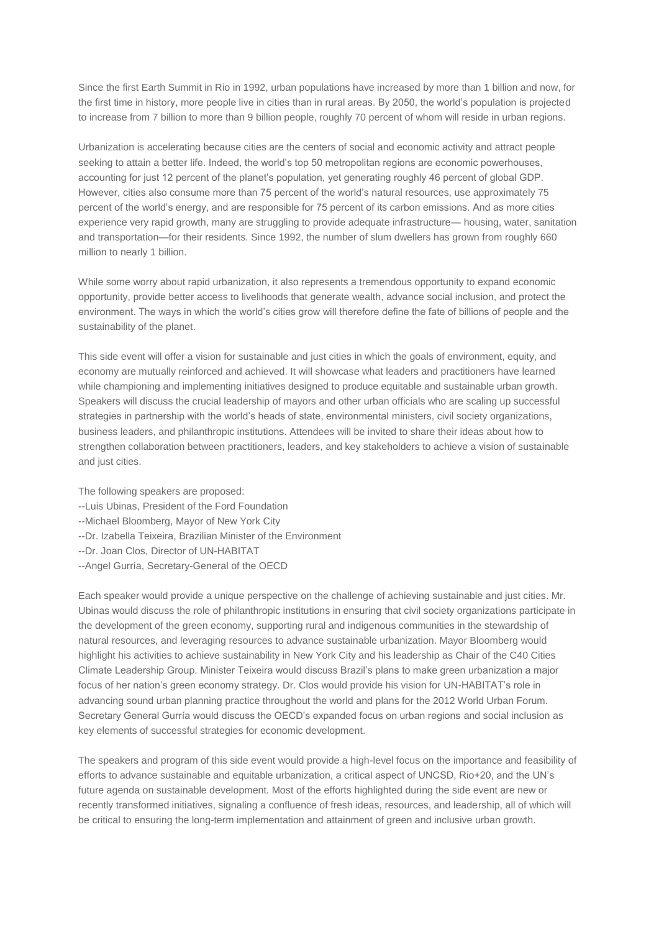Since the first Earth Summit in Rio in 1992, urban populations have increased by more than 1 billion and now, for the first time in history, more people live in cities than in rural areas. By 2050, the world's population is projected to increase from 7 billion to more than 9 billion people, roughly 70 percent of whom will reside in urban regions.

Urbanization is accelerating because cities are the centers of social and economic activity and attract people seeking to attain a better life. Indeed, the world's top 50 metropolitan regions are economic powerhouses, accounting for just 12 percent of the planet's population, yet generating roughly 46 percent of global GDP. However, cities also consume more than 75 percent of the world's natural resources, use approximately 75 percent of the world's energy, and are responsible for 75 percent of its carbon emissions. And as more cities experience very rapid growth, many are struggling to provide adequate infrastructure— housing, water, sanitation and transportation—for their residents. Since 1992, the number of slum dwellers has grown from roughly 660 million to nearly 1 billion.

While some worry about rapid urbanization, it also represents a tremendous opportunity to expand economic opportunity, provide better access to livelihoods that generate wealth, advance social inclusion, and protect the environment. The ways in which the world's cities grow will therefore define the fate of billions of people and the sustainability of the planet.

This side event will offer a vision for sustainable and just cities in which the goals of environment, equity, and economy are mutually reinforced and achieved. It will showcase what leaders and practitioners have learned while championing and implementing initiatives designed to produce equitable and sustainable urban growth. Speakers will discuss the crucial leadership of mayors and other urban officials who are scaling up successful strategies in partnership with the world's heads of state, environmental ministers, civil society organizations, business leaders, and philanthropic institutions. Attendees will be invited to share their ideas about how to strengthen collaboration between practitioners, leaders, and key stakeholders to achieve a vision of sustainable and just cities.

The following speakers are proposed:

- --Luis Ubinas, President of the Ford Foundation
- --Michael Bloomberg, Mayor of New York City
- --Dr. Izabella Teixeira, Brazilian Minister of the Environment
- --Dr. Joan Clos, Director of UN-HABITAT
- --Angel Gurría, Secretary-General of the OECD

Each speaker would provide a unique perspective on the challenge of achieving sustainable and just cities. Mr. Ubinas would discuss the role of philanthropic institutions in ensuring that civil society organizations participate in the development of the green economy, supporting rural and indigenous communities in the stewardship of natural resources, and leveraging resources to advance sustainable urbanization. Mayor Bloomberg would highlight his activities to achieve sustainability in New York City and his leadership as Chair of the C40 Cities Climate Leadership Group. Minister Teixeira would discuss Brazil's plans to make green urbanization a major focus of her nation's green economy strategy. Dr. Clos would provide his vision for UN-HABITAT's role in advancing sound urban planning practice throughout the world and plans for the 2012 World Urban Forum. Secretary General Gurría would discuss the OECD's expanded focus on urban regions and social inclusion as key elements of successful strategies for economic development.

The speakers and program of this side event would provide a high-level focus on the importance and feasibility of efforts to advance sustainable and equitable urbanization, a critical aspect of UNCSD, Rio+20, and the UN's future agenda on sustainable development. Most of the efforts highlighted during the side event are new or recently transformed initiatives, signaling a confluence of fresh ideas, resources, and leadership, all of which will be critical to ensuring the long-term implementation and attainment of green and inclusive urban growth.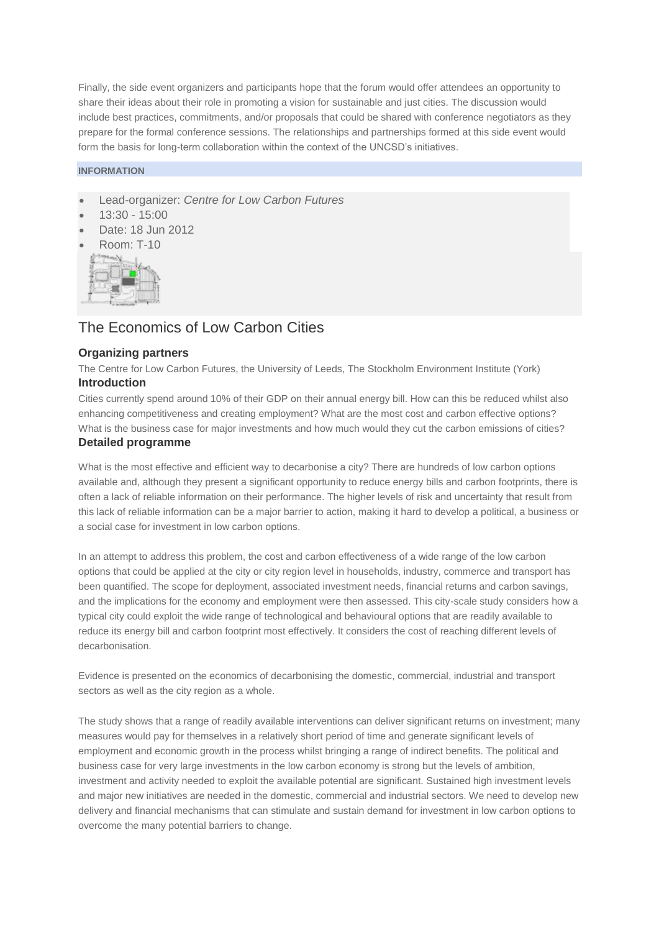Finally, the side event organizers and participants hope that the forum would offer attendees an opportunity to share their ideas about their role in promoting a vision for sustainable and just cities. The discussion would include best practices, commitments, and/or proposals that could be shared with conference negotiators as they prepare for the formal conference sessions. The relationships and partnerships formed at this side event would form the basis for long-term collaboration within the context of the UNCSD's initiatives.

#### **INFORMATION**

- Lead-organizer: *Centre for Low Carbon Futures*
- 13:30 15:00
- Date: 18 Jun 2012
- Room: T-10



## The Economics of Low Carbon Cities

#### **Organizing partners**

The Centre for Low Carbon Futures, the University of Leeds, The Stockholm Environment Institute (York) **Introduction**

Cities currently spend around 10% of their GDP on their annual energy bill. How can this be reduced whilst also enhancing competitiveness and creating employment? What are the most cost and carbon effective options? What is the business case for major investments and how much would they cut the carbon emissions of cities? **Detailed programme**

What is the most effective and efficient way to decarbonise a city? There are hundreds of low carbon options available and, although they present a significant opportunity to reduce energy bills and carbon footprints, there is often a lack of reliable information on their performance. The higher levels of risk and uncertainty that result from this lack of reliable information can be a major barrier to action, making it hard to develop a political, a business or a social case for investment in low carbon options.

In an attempt to address this problem, the cost and carbon effectiveness of a wide range of the low carbon options that could be applied at the city or city region level in households, industry, commerce and transport has been quantified. The scope for deployment, associated investment needs, financial returns and carbon savings, and the implications for the economy and employment were then assessed. This city-scale study considers how a typical city could exploit the wide range of technological and behavioural options that are readily available to reduce its energy bill and carbon footprint most effectively. It considers the cost of reaching different levels of decarbonisation.

Evidence is presented on the economics of decarbonising the domestic, commercial, industrial and transport sectors as well as the city region as a whole.

The study shows that a range of readily available interventions can deliver significant returns on investment; many measures would pay for themselves in a relatively short period of time and generate significant levels of employment and economic growth in the process whilst bringing a range of indirect benefits. The political and business case for very large investments in the low carbon economy is strong but the levels of ambition, investment and activity needed to exploit the available potential are significant. Sustained high investment levels and major new initiatives are needed in the domestic, commercial and industrial sectors. We need to develop new delivery and financial mechanisms that can stimulate and sustain demand for investment in low carbon options to overcome the many potential barriers to change.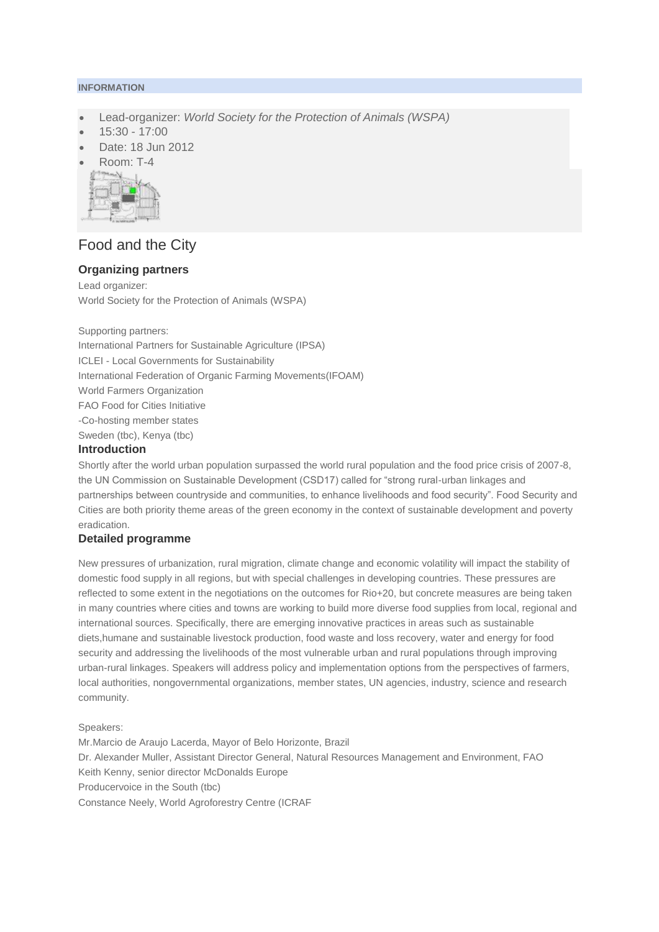#### **INFORMATION**

- Lead-organizer: *World Society for the Protection of Animals (WSPA)*
- 15:30 17:00
- Date: 18 Jun 2012
- Room: T-4



# Food and the City

## **Organizing partners**

Lead organizer: World Society for the Protection of Animals (WSPA)

Supporting partners:

International Partners for Sustainable Agriculture (IPSA) ICLEI - Local Governments for Sustainability International Federation of Organic Farming Movements(IFOAM) World Farmers Organization FAO Food for Cities Initiative -Co-hosting member states Sweden (tbc), Kenya (tbc)

### **Introduction**

Shortly after the world urban population surpassed the world rural population and the food price crisis of 2007-8, the UN Commission on Sustainable Development (CSD17) called for "strong rural-urban linkages and partnerships between countryside and communities, to enhance livelihoods and food security". Food Security and Cities are both priority theme areas of the green economy in the context of sustainable development and poverty eradication.

#### **Detailed programme**

New pressures of urbanization, rural migration, climate change and economic volatility will impact the stability of domestic food supply in all regions, but with special challenges in developing countries. These pressures are reflected to some extent in the negotiations on the outcomes for Rio+20, but concrete measures are being taken in many countries where cities and towns are working to build more diverse food supplies from local, regional and international sources. Specifically, there are emerging innovative practices in areas such as sustainable diets,humane and sustainable livestock production, food waste and loss recovery, water and energy for food security and addressing the livelihoods of the most vulnerable urban and rural populations through improving urban-rural linkages. Speakers will address policy and implementation options from the perspectives of farmers, local authorities, nongovernmental organizations, member states, UN agencies, industry, science and research community.

Speakers:

Mr.Marcio de Araujo Lacerda, Mayor of Belo Horizonte, Brazil Dr. Alexander Muller, Assistant Director General, Natural Resources Management and Environment, FAO Keith Kenny, senior director McDonalds Europe Producervoice in the South (tbc) Constance Neely, World Agroforestry Centre (ICRAF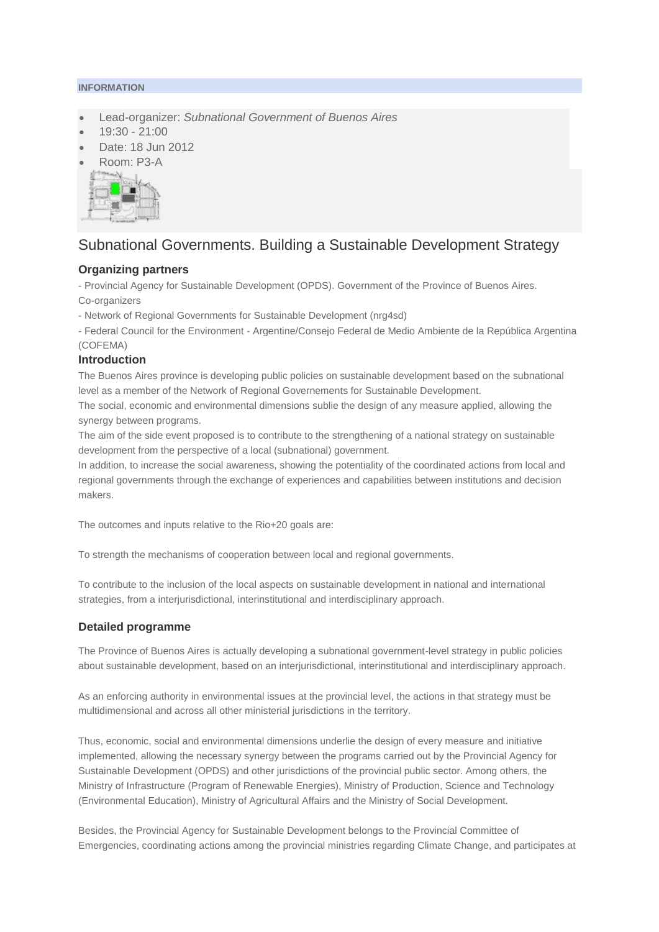#### **INFORMATION**

- Lead-organizer: *Subnational Government of Buenos Aires*
- 19:30 21:00
- Date: 18 Jun 2012
- Room: P3-A



# Subnational Governments. Building a Sustainable Development Strategy

### **Organizing partners**

- Provincial Agency for Sustainable Development (OPDS). Government of the Province of Buenos Aires. Co-organizers

- Network of Regional Governments for Sustainable Development (nrg4sd)

- Federal Council for the Environment - Argentine/Consejo Federal de Medio Ambiente de la República Argentina (COFEMA)

### **Introduction**

The Buenos Aires province is developing public policies on sustainable development based on the subnational level as a member of the Network of Regional Governements for Sustainable Development.

The social, economic and environmental dimensions sublie the design of any measure applied, allowing the synergy between programs.

The aim of the side event proposed is to contribute to the strengthening of a national strategy on sustainable development from the perspective of a local (subnational) government.

In addition, to increase the social awareness, showing the potentiality of the coordinated actions from local and regional governments through the exchange of experiences and capabilities between institutions and decision makers.

The outcomes and inputs relative to the Rio+20 goals are:

To strength the mechanisms of cooperation between local and regional governments.

To contribute to the inclusion of the local aspects on sustainable development in national and international strategies, from a interjurisdictional, interinstitutional and interdisciplinary approach.

## **Detailed programme**

The Province of Buenos Aires is actually developing a subnational government-level strategy in public policies about sustainable development, based on an interjurisdictional, interinstitutional and interdisciplinary approach.

As an enforcing authority in environmental issues at the provincial level, the actions in that strategy must be multidimensional and across all other ministerial jurisdictions in the territory.

Thus, economic, social and environmental dimensions underlie the design of every measure and initiative implemented, allowing the necessary synergy between the programs carried out by the Provincial Agency for Sustainable Development (OPDS) and other jurisdictions of the provincial public sector. Among others, the Ministry of Infrastructure (Program of Renewable Energies), Ministry of Production, Science and Technology (Environmental Education), Ministry of Agricultural Affairs and the Ministry of Social Development.

Besides, the Provincial Agency for Sustainable Development belongs to the Provincial Committee of Emergencies, coordinating actions among the provincial ministries regarding Climate Change, and participates at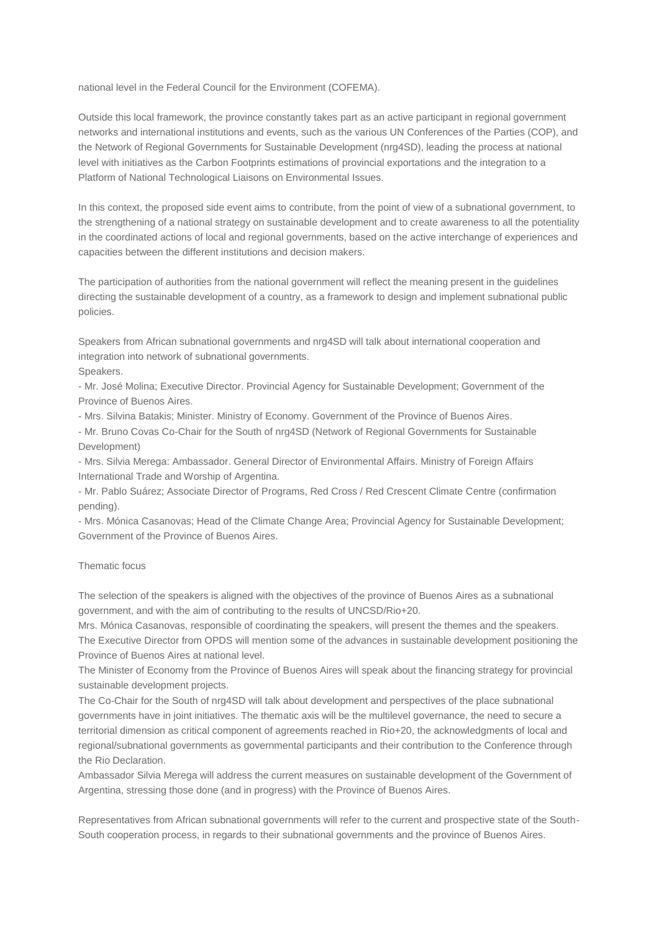national level in the Federal Council for the Environment (COFEMA).

Outside this local framework, the province constantly takes part as an active participant in regional government networks and international institutions and events, such as the various UN Conferences of the Parties (COP), and the Network of Regional Governments for Sustainable Development (nrg4SD), leading the process at national level with initiatives as the Carbon Footprints estimations of provincial exportations and the integration to a Platform of National Technological Liaisons on Environmental Issues.

In this context, the proposed side event aims to contribute, from the point of view of a subnational government, to the strengthening of a national strategy on sustainable development and to create awareness to all the potentiality in the coordinated actions of local and regional governments, based on the active interchange of experiences and capacities between the different institutions and decision makers.

The participation of authorities from the national government will reflect the meaning present in the guidelines directing the sustainable development of a country, as a framework to design and implement subnational public policies.

Speakers from African subnational governments and nrg4SD will talk about international cooperation and integration into network of subnational governments. Speakers.

- Mr. José Molina; Executive Director. Provincial Agency for Sustainable Development; Government of the Province of Buenos Aires.

- Mrs. Silvina Batakis; Minister. Ministry of Economy. Government of the Province of Buenos Aires.

- Mr. Bruno Covas Co-Chair for the South of nrg4SD (Network of Regional Governments for Sustainable Development)

- Mrs. Silvia Merega: Ambassador. General Director of Environmental Affairs. Ministry of Foreign Affairs International Trade and Worship of Argentina.

- Mr. Pablo Suárez; Associate Director of Programs, Red Cross / Red Crescent Climate Centre (confirmation pending).

- Mrs. Mónica Casanovas; Head of the Climate Change Area; Provincial Agency for Sustainable Development; Government of the Province of Buenos Aires.

#### Thematic focus

The selection of the speakers is aligned with the objectives of the province of Buenos Aires as a subnational government, and with the aim of contributing to the results of UNCSD/Rio+20.

Mrs. Mónica Casanovas, responsible of coordinating the speakers, will present the themes and the speakers. The Executive Director from OPDS will mention some of the advances in sustainable development positioning the Province of Buenos Aires at national level.

The Minister of Economy from the Province of Buenos Aires will speak about the financing strategy for provincial sustainable development projects.

The Co-Chair for the South of nrg4SD will talk about development and perspectives of the place subnational governments have in joint initiatives. The thematic axis will be the multilevel governance, the need to secure a territorial dimension as critical component of agreements reached in Rio+20, the acknowledgments of local and regional/subnational governments as governmental participants and their contribution to the Conference through the Rio Declaration.

Ambassador Silvia Merega will address the current measures on sustainable development of the Government of Argentina, stressing those done (and in progress) with the Province of Buenos Aires.

Representatives from African subnational governments will refer to the current and prospective state of the South-South cooperation process, in regards to their subnational governments and the province of Buenos Aires.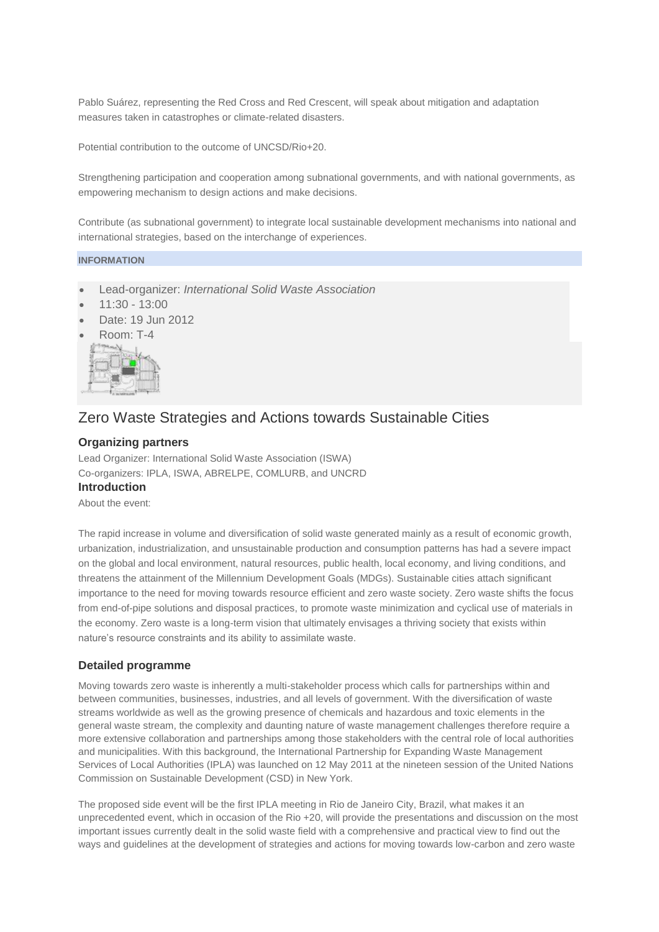Pablo Suárez, representing the Red Cross and Red Crescent, will speak about mitigation and adaptation measures taken in catastrophes or climate-related disasters.

Potential contribution to the outcome of UNCSD/Rio+20.

Strengthening participation and cooperation among subnational governments, and with national governments, as empowering mechanism to design actions and make decisions.

Contribute (as subnational government) to integrate local sustainable development mechanisms into national and international strategies, based on the interchange of experiences.

### **INFORMATION**

- Lead-organizer: *International Solid Waste Association*
- 11:30 13:00
- Date: 19 Jun 2012
- Room: T-4



## Zero Waste Strategies and Actions towards Sustainable Cities

#### **Organizing partners**

Lead Organizer: International Solid Waste Association (ISWA) Co-organizers: IPLA, ISWA, ABRELPE, COMLURB, and UNCRD **Introduction**

About the event:

The rapid increase in volume and diversification of solid waste generated mainly as a result of economic growth, urbanization, industrialization, and unsustainable production and consumption patterns has had a severe impact on the global and local environment, natural resources, public health, local economy, and living conditions, and threatens the attainment of the Millennium Development Goals (MDGs). Sustainable cities attach significant importance to the need for moving towards resource efficient and zero waste society. Zero waste shifts the focus from end-of-pipe solutions and disposal practices, to promote waste minimization and cyclical use of materials in the economy. Zero waste is a long-term vision that ultimately envisages a thriving society that exists within nature's resource constraints and its ability to assimilate waste.

#### **Detailed programme**

Moving towards zero waste is inherently a multi-stakeholder process which calls for partnerships within and between communities, businesses, industries, and all levels of government. With the diversification of waste streams worldwide as well as the growing presence of chemicals and hazardous and toxic elements in the general waste stream, the complexity and daunting nature of waste management challenges therefore require a more extensive collaboration and partnerships among those stakeholders with the central role of local authorities and municipalities. With this background, the International Partnership for Expanding Waste Management Services of Local Authorities (IPLA) was launched on 12 May 2011 at the nineteen session of the United Nations Commission on Sustainable Development (CSD) in New York.

The proposed side event will be the first IPLA meeting in Rio de Janeiro City, Brazil, what makes it an unprecedented event, which in occasion of the Rio +20, will provide the presentations and discussion on the most important issues currently dealt in the solid waste field with a comprehensive and practical view to find out the ways and guidelines at the development of strategies and actions for moving towards low-carbon and zero waste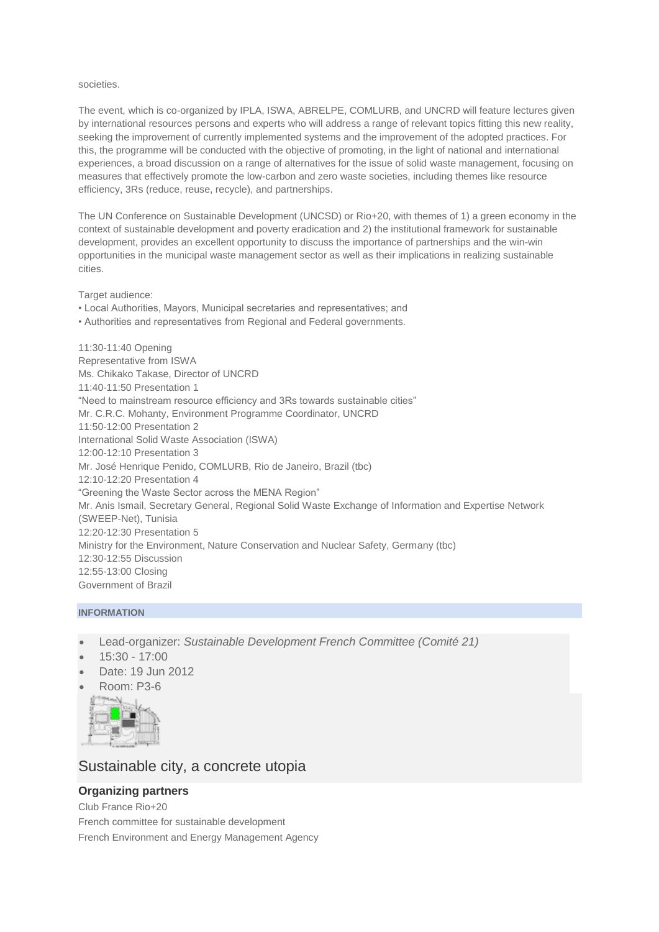#### societies.

The event, which is co-organized by IPLA, ISWA, ABRELPE, COMLURB, and UNCRD will feature lectures given by international resources persons and experts who will address a range of relevant topics fitting this new reality, seeking the improvement of currently implemented systems and the improvement of the adopted practices. For this, the programme will be conducted with the objective of promoting, in the light of national and international experiences, a broad discussion on a range of alternatives for the issue of solid waste management, focusing on measures that effectively promote the low-carbon and zero waste societies, including themes like resource efficiency, 3Rs (reduce, reuse, recycle), and partnerships.

The UN Conference on Sustainable Development (UNCSD) or Rio+20, with themes of 1) a green economy in the context of sustainable development and poverty eradication and 2) the institutional framework for sustainable development, provides an excellent opportunity to discuss the importance of partnerships and the win-win opportunities in the municipal waste management sector as well as their implications in realizing sustainable cities.

Target audience:

- Local Authorities, Mayors, Municipal secretaries and representatives; and
- Authorities and representatives from Regional and Federal governments.

11:30-11:40 Opening Representative from ISWA Ms. Chikako Takase, Director of UNCRD 11:40-11:50 Presentation 1 "Need to mainstream resource efficiency and 3Rs towards sustainable cities" Mr. C.R.C. Mohanty, Environment Programme Coordinator, UNCRD 11:50-12:00 Presentation 2 International Solid Waste Association (ISWA) 12:00-12:10 Presentation 3 Mr. José Henrique Penido, COMLURB, Rio de Janeiro, Brazil (tbc) 12:10-12:20 Presentation 4 "Greening the Waste Sector across the MENA Region" Mr. Anis Ismail, Secretary General, Regional Solid Waste Exchange of Information and Expertise Network (SWEEP-Net), Tunisia 12:20-12:30 Presentation 5 Ministry for the Environment, Nature Conservation and Nuclear Safety, Germany (tbc) 12:30-12:55 Discussion 12:55-13:00 Closing Government of Brazil

#### **INFORMATION**

- Lead-organizer: *Sustainable Development French Committee (Comité 21)*
- 15:30 17:00
- Date: 19 Jun 2012
- Room: P3-6



## Sustainable city, a concrete utopia

## **Organizing partners**

Club France Rio+20 French committee for sustainable development French Environment and Energy Management Agency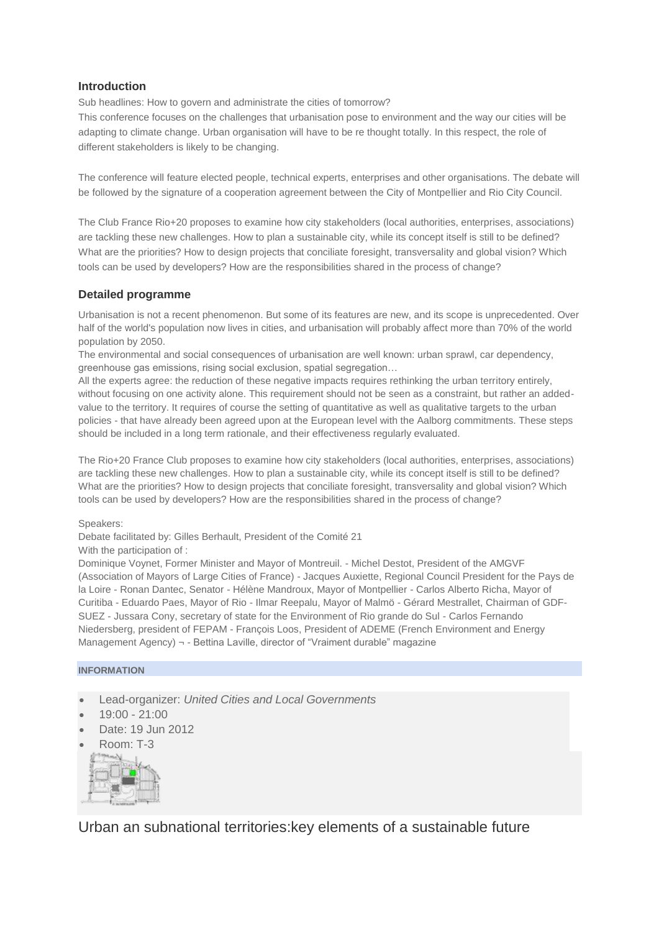## **Introduction**

Sub headlines: How to govern and administrate the cities of tomorrow?

This conference focuses on the challenges that urbanisation pose to environment and the way our cities will be adapting to climate change. Urban organisation will have to be re thought totally. In this respect, the role of different stakeholders is likely to be changing.

The conference will feature elected people, technical experts, enterprises and other organisations. The debate will be followed by the signature of a cooperation agreement between the City of Montpellier and Rio City Council.

The Club France Rio+20 proposes to examine how city stakeholders (local authorities, enterprises, associations) are tackling these new challenges. How to plan a sustainable city, while its concept itself is still to be defined? What are the priorities? How to design projects that conciliate foresight, transversality and global vision? Which tools can be used by developers? How are the responsibilities shared in the process of change?

## **Detailed programme**

Urbanisation is not a recent phenomenon. But some of its features are new, and its scope is unprecedented. Over half of the world's population now lives in cities, and urbanisation will probably affect more than 70% of the world population by 2050.

The environmental and social consequences of urbanisation are well known: urban sprawl, car dependency, greenhouse gas emissions, rising social exclusion, spatial segregation…

All the experts agree: the reduction of these negative impacts requires rethinking the urban territory entirely, without focusing on one activity alone. This requirement should not be seen as a constraint, but rather an addedvalue to the territory. It requires of course the setting of quantitative as well as qualitative targets to the urban policies - that have already been agreed upon at the European level with the Aalborg commitments. These steps should be included in a long term rationale, and their effectiveness regularly evaluated.

The Rio+20 France Club proposes to examine how city stakeholders (local authorities, enterprises, associations) are tackling these new challenges. How to plan a sustainable city, while its concept itself is still to be defined? What are the priorities? How to design projects that conciliate foresight, transversality and global vision? Which tools can be used by developers? How are the responsibilities shared in the process of change?

Speakers:

Debate facilitated by: Gilles Berhault, President of the Comité 21

With the participation of :

Dominique Voynet, Former Minister and Mayor of Montreuil. - Michel Destot, President of the AMGVF (Association of Mayors of Large Cities of France) - Jacques Auxiette, Regional Council President for the Pays de la Loire - Ronan Dantec, Senator - Hélène Mandroux, Mayor of Montpellier - Carlos Alberto Richa, Mayor of Curitiba - Eduardo Paes, Mayor of Rio - Ilmar Reepalu, Mayor of Malmö - Gérard Mestrallet, Chairman of GDF-SUEZ - Jussara Cony, secretary of state for the Environment of Rio grande do Sul - Carlos Fernando Niedersberg, president of FEPAM - François Loos, President of ADEME (French Environment and Energy Management Agency) ¬ - Bettina Laville, director of "Vraiment durable" magazine

#### **INFORMATION**

- Lead-organizer: *United Cities and Local Governments*
- 19:00 21:00
- Date: 19 Jun 2012
- Room: T-3



Urban an subnational territories:key elements of a sustainable future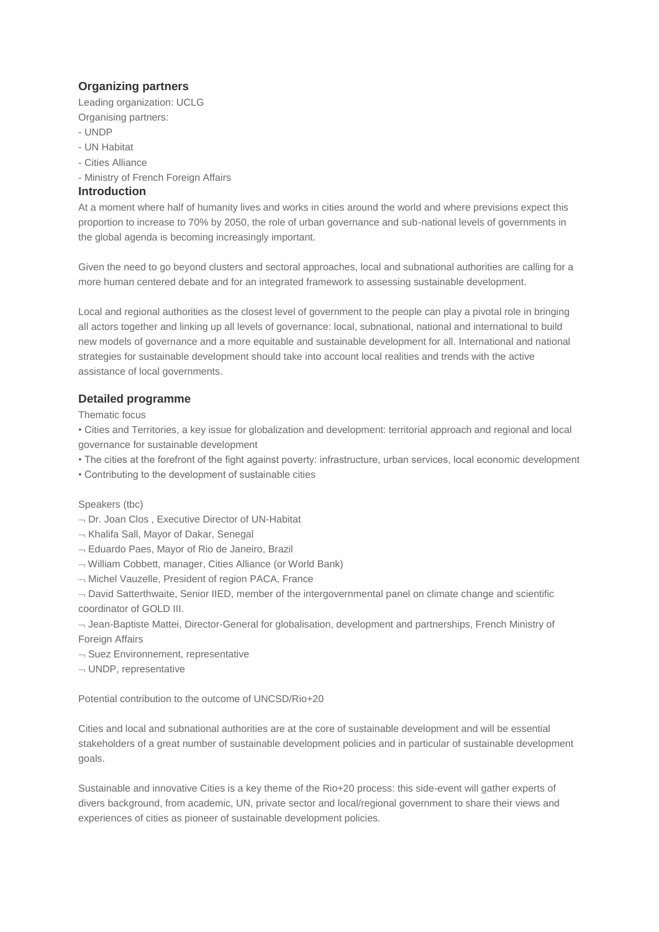## **Organizing partners**

Leading organization: UCLG Organising partners:

- UNDP
- UN Habitat
- Cities Alliance

- Ministry of French Foreign Affairs

## **Introduction**

At a moment where half of humanity lives and works in cities around the world and where previsions expect this proportion to increase to 70% by 2050, the role of urban governance and sub-national levels of governments in the global agenda is becoming increasingly important.

Given the need to go beyond clusters and sectoral approaches, local and subnational authorities are calling for a more human centered debate and for an integrated framework to assessing sustainable development.

Local and regional authorities as the closest level of government to the people can play a pivotal role in bringing all actors together and linking up all levels of governance: local, subnational, national and international to build new models of governance and a more equitable and sustainable development for all. International and national strategies for sustainable development should take into account local realities and trends with the active assistance of local governments.

## **Detailed programme**

Thematic focus

• Cities and Territories, a key issue for globalization and development: territorial approach and regional and local governance for sustainable development

• The cities at the forefront of the fight against poverty: infrastructure, urban services, local economic development

• Contributing to the development of sustainable cities

Speakers (tbc)

- $\neg$  Dr. Joan Clos, Executive Director of UN-Habitat
- Khalifa Sall, Mayor of Dakar, Senegal
- Eduardo Paes, Mayor of Rio de Janeiro, Brazil
- William Cobbett, manager, Cities Alliance (or World Bank)
- $\neg$  Michel Vauzelle, President of region PACA, France

 $\neg$  David Satterthwaite, Senior IIED, member of the intergovernmental panel on climate change and scientific coordinator of GOLD III.

 $-$  Jean-Baptiste Mattei, Director-General for globalisation, development and partnerships, French Ministry of Foreign Affairs

- $\neg$  Suez Environnement, representative
- $\neg$  UNDP, representative

Potential contribution to the outcome of UNCSD/Rio+20

Cities and local and subnational authorities are at the core of sustainable development and will be essential stakeholders of a great number of sustainable development policies and in particular of sustainable development goals.

Sustainable and innovative Cities is a key theme of the Rio+20 process: this side-event will gather experts of divers background, from academic, UN, private sector and local/regional government to share their views and experiences of cities as pioneer of sustainable development policies.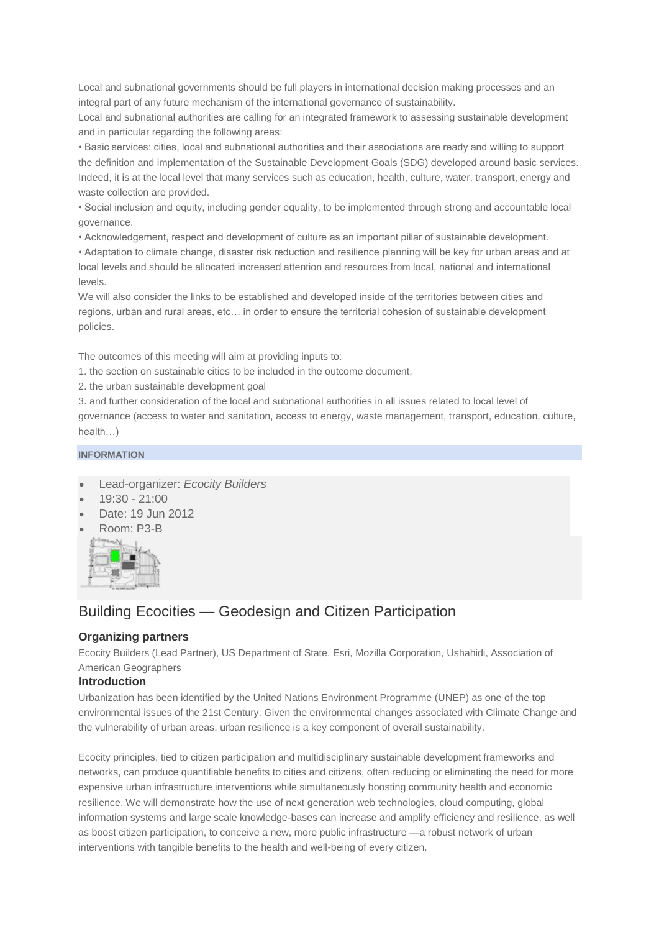Local and subnational governments should be full players in international decision making processes and an integral part of any future mechanism of the international governance of sustainability.

Local and subnational authorities are calling for an integrated framework to assessing sustainable development and in particular regarding the following areas:

• Basic services: cities, local and subnational authorities and their associations are ready and willing to support the definition and implementation of the Sustainable Development Goals (SDG) developed around basic services. Indeed, it is at the local level that many services such as education, health, culture, water, transport, energy and waste collection are provided.

• Social inclusion and equity, including gender equality, to be implemented through strong and accountable local governance.

• Acknowledgement, respect and development of culture as an important pillar of sustainable development.

• Adaptation to climate change, disaster risk reduction and resilience planning will be key for urban areas and at local levels and should be allocated increased attention and resources from local, national and international levels.

We will also consider the links to be established and developed inside of the territories between cities and regions, urban and rural areas, etc… in order to ensure the territorial cohesion of sustainable development policies.

The outcomes of this meeting will aim at providing inputs to:

1. the section on sustainable cities to be included in the outcome document,

2. the urban sustainable development goal

3. and further consideration of the local and subnational authorities in all issues related to local level of governance (access to water and sanitation, access to energy, waste management, transport, education, culture, health…)

## **INFORMATION**

- Lead-organizer: *Ecocity Builders*
- 19:30 21:00
- Date: 19 Jun 2012
- Room: P3-B



# Building Ecocities — Geodesign and Citizen Participation

## **Organizing partners**

Ecocity Builders (Lead Partner), US Department of State, Esri, Mozilla Corporation, Ushahidi, Association of American Geographers

#### **Introduction**

Urbanization has been identified by the United Nations Environment Programme (UNEP) as one of the top environmental issues of the 21st Century. Given the environmental changes associated with Climate Change and the vulnerability of urban areas, urban resilience is a key component of overall sustainability.

Ecocity principles, tied to citizen participation and multidisciplinary sustainable development frameworks and networks, can produce quantifiable benefits to cities and citizens, often reducing or eliminating the need for more expensive urban infrastructure interventions while simultaneously boosting community health and economic resilience. We will demonstrate how the use of next generation web technologies, cloud computing, global information systems and large scale knowledge-bases can increase and amplify efficiency and resilience, as well as boost citizen participation, to conceive a new, more public infrastructure —a robust network of urban interventions with tangible benefits to the health and well-being of every citizen.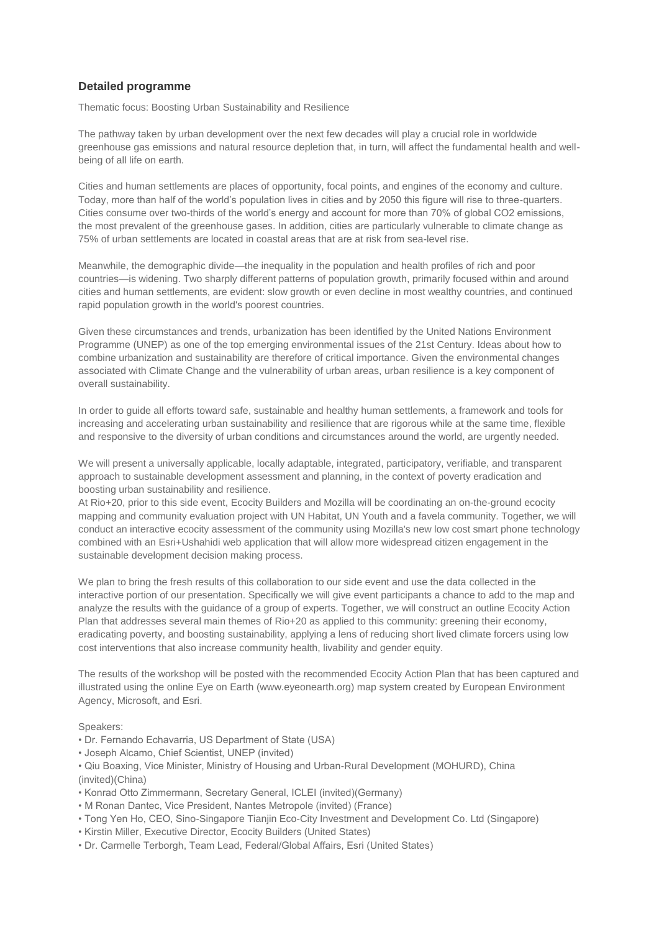## **Detailed programme**

Thematic focus: Boosting Urban Sustainability and Resilience

The pathway taken by urban development over the next few decades will play a crucial role in worldwide greenhouse gas emissions and natural resource depletion that, in turn, will affect the fundamental health and wellbeing of all life on earth.

Cities and human settlements are places of opportunity, focal points, and engines of the economy and culture. Today, more than half of the world's population lives in cities and by 2050 this figure will rise to three-quarters. Cities consume over two-thirds of the world's energy and account for more than 70% of global CO2 emissions, the most prevalent of the greenhouse gases. In addition, cities are particularly vulnerable to climate change as 75% of urban settlements are located in coastal areas that are at risk from sea-level rise.

Meanwhile, the demographic divide—the inequality in the population and health profiles of rich and poor countries—is widening. Two sharply different patterns of population growth, primarily focused within and around cities and human settlements, are evident: slow growth or even decline in most wealthy countries, and continued rapid population growth in the world's poorest countries.

Given these circumstances and trends, urbanization has been identified by the United Nations Environment Programme (UNEP) as one of the top emerging environmental issues of the 21st Century. Ideas about how to combine urbanization and sustainability are therefore of critical importance. Given the environmental changes associated with Climate Change and the vulnerability of urban areas, urban resilience is a key component of overall sustainability.

In order to guide all efforts toward safe, sustainable and healthy human settlements, a framework and tools for increasing and accelerating urban sustainability and resilience that are rigorous while at the same time, flexible and responsive to the diversity of urban conditions and circumstances around the world, are urgently needed.

We will present a universally applicable, locally adaptable, integrated, participatory, verifiable, and transparent approach to sustainable development assessment and planning, in the context of poverty eradication and boosting urban sustainability and resilience.

At Rio+20, prior to this side event, Ecocity Builders and Mozilla will be coordinating an on-the-ground ecocity mapping and community evaluation project with UN Habitat, UN Youth and a favela community. Together, we will conduct an interactive ecocity assessment of the community using Mozilla's new low cost smart phone technology combined with an Esri+Ushahidi web application that will allow more widespread citizen engagement in the sustainable development decision making process.

We plan to bring the fresh results of this collaboration to our side event and use the data collected in the interactive portion of our presentation. Specifically we will give event participants a chance to add to the map and analyze the results with the guidance of a group of experts. Together, we will construct an outline Ecocity Action Plan that addresses several main themes of Rio+20 as applied to this community: greening their economy, eradicating poverty, and boosting sustainability, applying a lens of reducing short lived climate forcers using low cost interventions that also increase community health, livability and gender equity.

The results of the workshop will be posted with the recommended Ecocity Action Plan that has been captured and illustrated using the online Eye on Earth (www.eyeonearth.org) map system created by European Environment Agency, Microsoft, and Esri.

Speakers:

- Dr. Fernando Echavarria, US Department of State (USA)
- Joseph Alcamo, Chief Scientist, UNEP (invited)
- Qiu Boaxing, Vice Minister, Ministry of Housing and Urban-Rural Development (MOHURD), China (invited)(China)
- Konrad Otto Zimmermann, Secretary General, ICLEI (invited)(Germany)
- M Ronan Dantec, Vice President, Nantes Metropole (invited) (France)
- Tong Yen Ho, CEO, Sino-Singapore Tianjin Eco-City Investment and Development Co. Ltd (Singapore)
- Kirstin Miller, Executive Director, Ecocity Builders (United States)
- Dr. Carmelle Terborgh, Team Lead, Federal/Global Affairs, Esri (United States)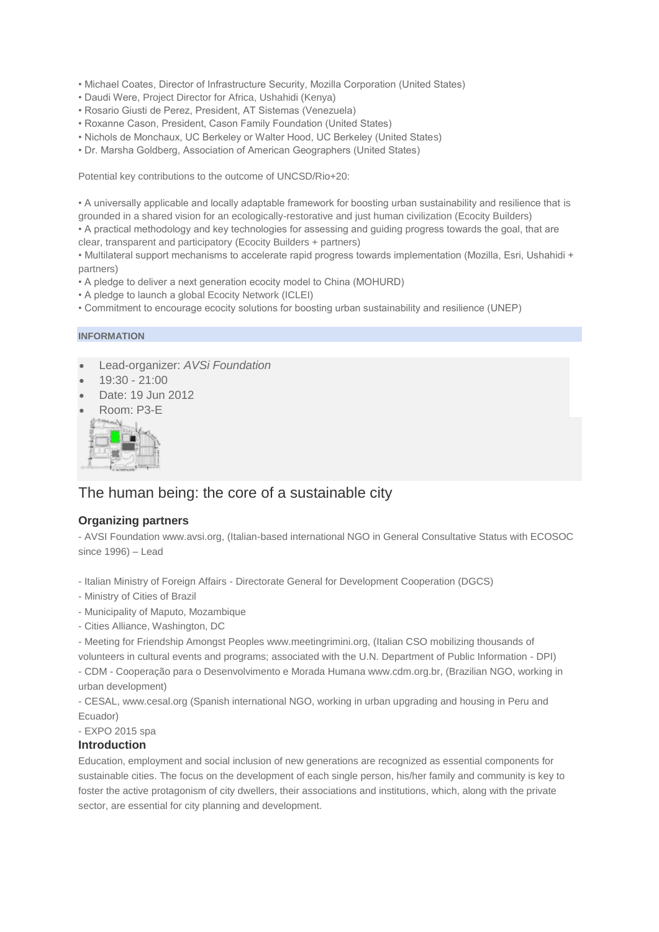- Michael Coates, Director of Infrastructure Security, Mozilla Corporation (United States)
- Daudi Were, Project Director for Africa, Ushahidi (Kenya)
- Rosario Giusti de Perez, President, AT Sistemas (Venezuela)
- Roxanne Cason, President, Cason Family Foundation (United States)
- Nichols de Monchaux, UC Berkeley or Walter Hood, UC Berkeley (United States)
- Dr. Marsha Goldberg, Association of American Geographers (United States)

Potential key contributions to the outcome of UNCSD/Rio+20:

• A universally applicable and locally adaptable framework for boosting urban sustainability and resilience that is grounded in a shared vision for an ecologically-restorative and just human civilization (Ecocity Builders) • A practical methodology and key technologies for assessing and guiding progress towards the goal, that are

clear, transparent and participatory (Ecocity Builders + partners)

• Multilateral support mechanisms to accelerate rapid progress towards implementation (Mozilla, Esri, Ushahidi + partners)

- A pledge to deliver a next generation ecocity model to China (MOHURD)
- A pledge to launch a global Ecocity Network (ICLEI)
- Commitment to encourage ecocity solutions for boosting urban sustainability and resilience (UNEP)

#### **INFORMATION**

- Lead-organizer: *AVSi Foundation*
- 19:30 21:00
- Date: 19 Jun 2012
- Room: P3-E



## The human being: the core of a sustainable city

#### **Organizing partners**

- AVSI Foundation www.avsi.org, (Italian-based international NGO in General Consultative Status with ECOSOC since 1996) – Lead

- Italian Ministry of Foreign Affairs Directorate General for Development Cooperation (DGCS)
- Ministry of Cities of Brazil
- Municipality of Maputo, Mozambique
- Cities Alliance, Washington, DC

- Meeting for Friendship Amongst Peoples www.meetingrimini.org, (Italian CSO mobilizing thousands of volunteers in cultural events and programs; associated with the U.N. Department of Public Information - DPI)

- CDM - Cooperação para o Desenvolvimento e Morada Humana www.cdm.org.br, (Brazilian NGO, working in urban development)

- CESAL, www.cesal.org (Spanish international NGO, working in urban upgrading and housing in Peru and Ecuador)

- EXPO 2015 spa

#### **Introduction**

Education, employment and social inclusion of new generations are recognized as essential components for sustainable cities. The focus on the development of each single person, his/her family and community is key to foster the active protagonism of city dwellers, their associations and institutions, which, along with the private sector, are essential for city planning and development.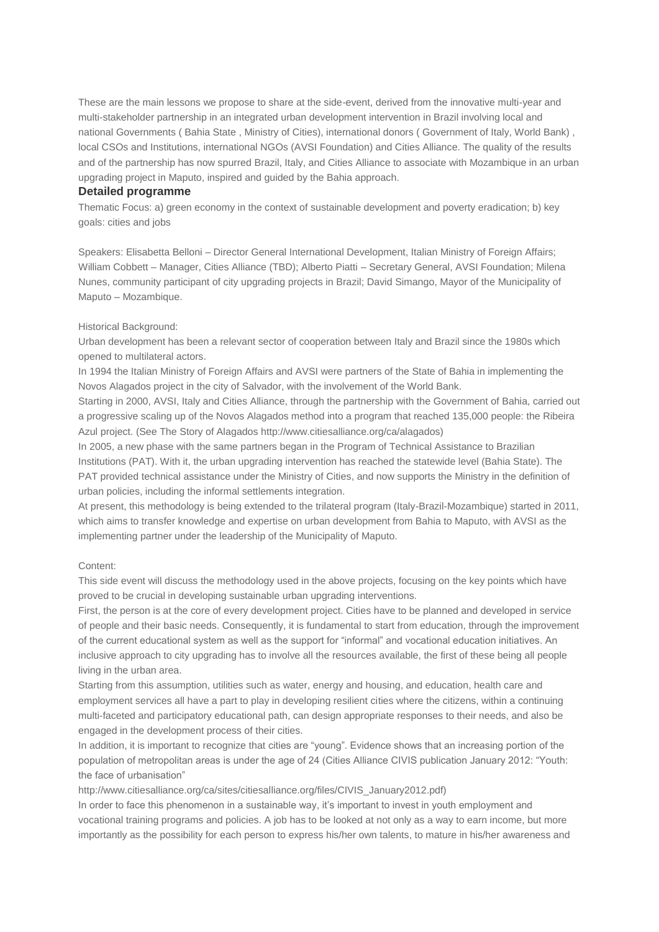These are the main lessons we propose to share at the side-event, derived from the innovative multi-year and multi-stakeholder partnership in an integrated urban development intervention in Brazil involving local and national Governments ( Bahia State , Ministry of Cities), international donors ( Government of Italy, World Bank) , local CSOs and Institutions, international NGOs (AVSI Foundation) and Cities Alliance. The quality of the results and of the partnership has now spurred Brazil, Italy, and Cities Alliance to associate with Mozambique in an urban upgrading project in Maputo, inspired and guided by the Bahia approach.

#### **Detailed programme**

Thematic Focus: a) green economy in the context of sustainable development and poverty eradication; b) key goals: cities and jobs

Speakers: Elisabetta Belloni – Director General International Development, Italian Ministry of Foreign Affairs; William Cobbett – Manager, Cities Alliance (TBD); Alberto Piatti – Secretary General, AVSI Foundation; Milena Nunes, community participant of city upgrading projects in Brazil; David Simango, Mayor of the Municipality of Maputo – Mozambique.

#### Historical Background:

Urban development has been a relevant sector of cooperation between Italy and Brazil since the 1980s which opened to multilateral actors.

In 1994 the Italian Ministry of Foreign Affairs and AVSI were partners of the State of Bahia in implementing the Novos Alagados project in the city of Salvador, with the involvement of the World Bank.

Starting in 2000, AVSI, Italy and Cities Alliance, through the partnership with the Government of Bahia, carried out a progressive scaling up of the Novos Alagados method into a program that reached 135,000 people: the Ribeira Azul project. (See The Story of Alagados http://www.citiesalliance.org/ca/alagados)

In 2005, a new phase with the same partners began in the Program of Technical Assistance to Brazilian Institutions (PAT). With it, the urban upgrading intervention has reached the statewide level (Bahia State). The PAT provided technical assistance under the Ministry of Cities, and now supports the Ministry in the definition of urban policies, including the informal settlements integration.

At present, this methodology is being extended to the trilateral program (Italy-Brazil-Mozambique) started in 2011, which aims to transfer knowledge and expertise on urban development from Bahia to Maputo, with AVSI as the implementing partner under the leadership of the Municipality of Maputo.

#### Content:

This side event will discuss the methodology used in the above projects, focusing on the key points which have proved to be crucial in developing sustainable urban upgrading interventions.

First, the person is at the core of every development project. Cities have to be planned and developed in service of people and their basic needs. Consequently, it is fundamental to start from education, through the improvement of the current educational system as well as the support for "informal" and vocational education initiatives. An inclusive approach to city upgrading has to involve all the resources available, the first of these being all people living in the urban area.

Starting from this assumption, utilities such as water, energy and housing, and education, health care and employment services all have a part to play in developing resilient cities where the citizens, within a continuing multi-faceted and participatory educational path, can design appropriate responses to their needs, and also be engaged in the development process of their cities.

In addition, it is important to recognize that cities are "young". Evidence shows that an increasing portion of the population of metropolitan areas is under the age of 24 (Cities Alliance CIVIS publication January 2012: "Youth: the face of urbanisation"

http://www.citiesalliance.org/ca/sites/citiesalliance.org/files/CIVIS\_January2012.pdf)

In order to face this phenomenon in a sustainable way, it's important to invest in youth employment and vocational training programs and policies. A job has to be looked at not only as a way to earn income, but more importantly as the possibility for each person to express his/her own talents, to mature in his/her awareness and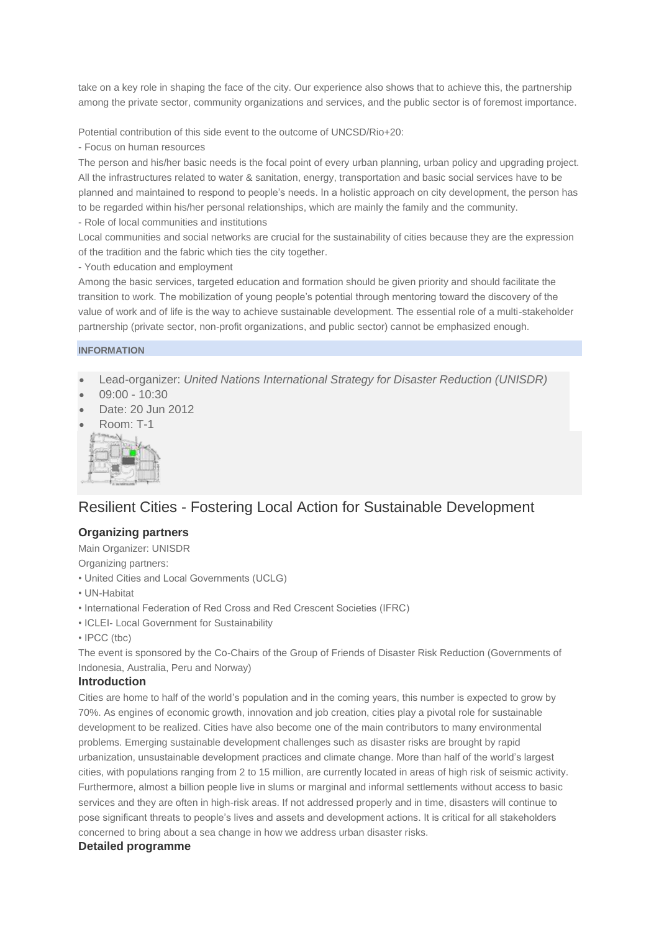take on a key role in shaping the face of the city. Our experience also shows that to achieve this, the partnership among the private sector, community organizations and services, and the public sector is of foremost importance.

Potential contribution of this side event to the outcome of UNCSD/Rio+20:

- Focus on human resources

The person and his/her basic needs is the focal point of every urban planning, urban policy and upgrading project. All the infrastructures related to water & sanitation, energy, transportation and basic social services have to be planned and maintained to respond to people's needs. In a holistic approach on city development, the person has to be regarded within his/her personal relationships, which are mainly the family and the community.

- Role of local communities and institutions

Local communities and social networks are crucial for the sustainability of cities because they are the expression of the tradition and the fabric which ties the city together.

- Youth education and employment

Among the basic services, targeted education and formation should be given priority and should facilitate the transition to work. The mobilization of young people's potential through mentoring toward the discovery of the value of work and of life is the way to achieve sustainable development. The essential role of a multi-stakeholder partnership (private sector, non-profit organizations, and public sector) cannot be emphasized enough.

#### **INFORMATION**

- Lead-organizer: *United Nations International Strategy for Disaster Reduction (UNISDR)*
- 09:00 10:30
- Date: 20 Jun 2012
- Room: T-1



# Resilient Cities - Fostering Local Action for Sustainable Development

## **Organizing partners**

Main Organizer: UNISDR

Organizing partners:

- United Cities and Local Governments (UCLG)
- UN-Habitat
- International Federation of Red Cross and Red Crescent Societies (IFRC)
- ICLEI- Local Government for Sustainability
- IPCC (tbc)

The event is sponsored by the Co-Chairs of the Group of Friends of Disaster Risk Reduction (Governments of Indonesia, Australia, Peru and Norway)

### **Introduction**

Cities are home to half of the world's population and in the coming years, this number is expected to grow by 70%. As engines of economic growth, innovation and job creation, cities play a pivotal role for sustainable development to be realized. Cities have also become one of the main contributors to many environmental problems. Emerging sustainable development challenges such as disaster risks are brought by rapid urbanization, unsustainable development practices and climate change. More than half of the world's largest cities, with populations ranging from 2 to 15 million, are currently located in areas of high risk of seismic activity. Furthermore, almost a billion people live in slums or marginal and informal settlements without access to basic services and they are often in high-risk areas. If not addressed properly and in time, disasters will continue to pose significant threats to people's lives and assets and development actions. It is critical for all stakeholders concerned to bring about a sea change in how we address urban disaster risks.

### **Detailed programme**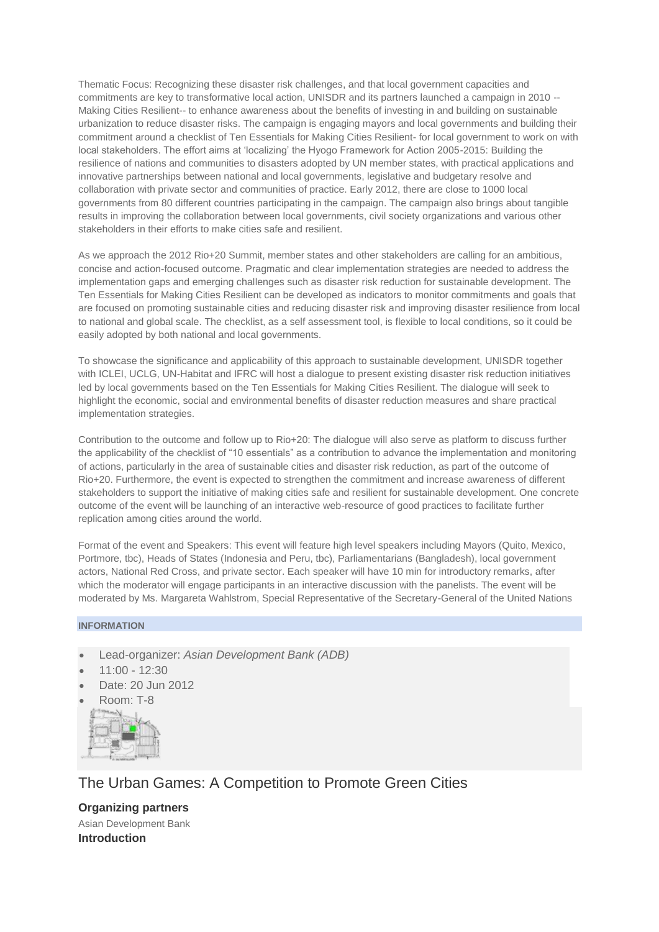Thematic Focus: Recognizing these disaster risk challenges, and that local government capacities and commitments are key to transformative local action, UNISDR and its partners launched a campaign in 2010 -- Making Cities Resilient-- to enhance awareness about the benefits of investing in and building on sustainable urbanization to reduce disaster risks. The campaign is engaging mayors and local governments and building their commitment around a checklist of Ten Essentials for Making Cities Resilient- for local government to work on with local stakeholders. The effort aims at 'localizing' the Hyogo Framework for Action 2005-2015: Building the resilience of nations and communities to disasters adopted by UN member states, with practical applications and innovative partnerships between national and local governments, legislative and budgetary resolve and collaboration with private sector and communities of practice. Early 2012, there are close to 1000 local governments from 80 different countries participating in the campaign. The campaign also brings about tangible results in improving the collaboration between local governments, civil society organizations and various other stakeholders in their efforts to make cities safe and resilient.

As we approach the 2012 Rio+20 Summit, member states and other stakeholders are calling for an ambitious, concise and action-focused outcome. Pragmatic and clear implementation strategies are needed to address the implementation gaps and emerging challenges such as disaster risk reduction for sustainable development. The Ten Essentials for Making Cities Resilient can be developed as indicators to monitor commitments and goals that are focused on promoting sustainable cities and reducing disaster risk and improving disaster resilience from local to national and global scale. The checklist, as a self assessment tool, is flexible to local conditions, so it could be easily adopted by both national and local governments.

To showcase the significance and applicability of this approach to sustainable development, UNISDR together with ICLEI, UCLG, UN-Habitat and IFRC will host a dialogue to present existing disaster risk reduction initiatives led by local governments based on the Ten Essentials for Making Cities Resilient. The dialogue will seek to highlight the economic, social and environmental benefits of disaster reduction measures and share practical implementation strategies.

Contribution to the outcome and follow up to Rio+20: The dialogue will also serve as platform to discuss further the applicability of the checklist of "10 essentials" as a contribution to advance the implementation and monitoring of actions, particularly in the area of sustainable cities and disaster risk reduction, as part of the outcome of Rio+20. Furthermore, the event is expected to strengthen the commitment and increase awareness of different stakeholders to support the initiative of making cities safe and resilient for sustainable development. One concrete outcome of the event will be launching of an interactive web-resource of good practices to facilitate further replication among cities around the world.

Format of the event and Speakers: This event will feature high level speakers including Mayors (Quito, Mexico, Portmore, tbc), Heads of States (Indonesia and Peru, tbc), Parliamentarians (Bangladesh), local government actors, National Red Cross, and private sector. Each speaker will have 10 min for introductory remarks, after which the moderator will engage participants in an interactive discussion with the panelists. The event will be moderated by Ms. Margareta Wahlstrom, Special Representative of the Secretary-General of the United Nations

#### **INFORMATION**

- Lead-organizer: *Asian Development Bank (ADB)*
- 11:00 12:30
- Date: 20 Jun 2012
- Room: T-8



The Urban Games: A Competition to Promote Green Cities

**Organizing partners** Asian Development Bank **Introduction**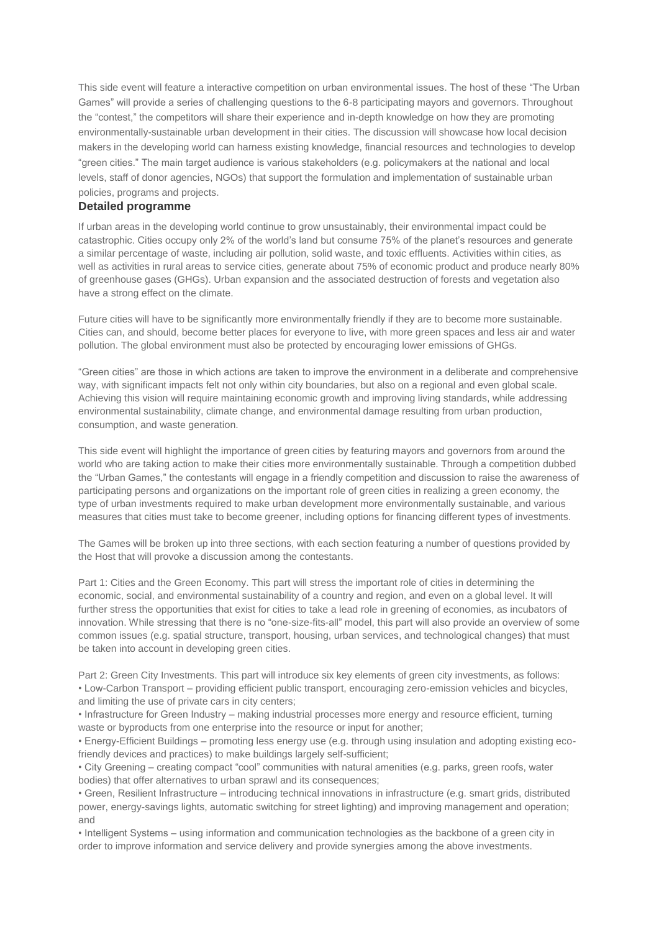This side event will feature a interactive competition on urban environmental issues. The host of these "The Urban Games" will provide a series of challenging questions to the 6-8 participating mayors and governors. Throughout the "contest," the competitors will share their experience and in-depth knowledge on how they are promoting environmentally-sustainable urban development in their cities. The discussion will showcase how local decision makers in the developing world can harness existing knowledge, financial resources and technologies to develop "green cities." The main target audience is various stakeholders (e.g. policymakers at the national and local levels, staff of donor agencies, NGOs) that support the formulation and implementation of sustainable urban policies, programs and projects.

#### **Detailed programme**

If urban areas in the developing world continue to grow unsustainably, their environmental impact could be catastrophic. Cities occupy only 2% of the world's land but consume 75% of the planet's resources and generate a similar percentage of waste, including air pollution, solid waste, and toxic effluents. Activities within cities, as well as activities in rural areas to service cities, generate about 75% of economic product and produce nearly 80% of greenhouse gases (GHGs). Urban expansion and the associated destruction of forests and vegetation also have a strong effect on the climate.

Future cities will have to be significantly more environmentally friendly if they are to become more sustainable. Cities can, and should, become better places for everyone to live, with more green spaces and less air and water pollution. The global environment must also be protected by encouraging lower emissions of GHGs.

"Green cities" are those in which actions are taken to improve the environment in a deliberate and comprehensive way, with significant impacts felt not only within city boundaries, but also on a regional and even global scale. Achieving this vision will require maintaining economic growth and improving living standards, while addressing environmental sustainability, climate change, and environmental damage resulting from urban production, consumption, and waste generation.

This side event will highlight the importance of green cities by featuring mayors and governors from around the world who are taking action to make their cities more environmentally sustainable. Through a competition dubbed the "Urban Games," the contestants will engage in a friendly competition and discussion to raise the awareness of participating persons and organizations on the important role of green cities in realizing a green economy, the type of urban investments required to make urban development more environmentally sustainable, and various measures that cities must take to become greener, including options for financing different types of investments.

The Games will be broken up into three sections, with each section featuring a number of questions provided by the Host that will provoke a discussion among the contestants.

Part 1: Cities and the Green Economy. This part will stress the important role of cities in determining the economic, social, and environmental sustainability of a country and region, and even on a global level. It will further stress the opportunities that exist for cities to take a lead role in greening of economies, as incubators of innovation. While stressing that there is no "one-size-fits-all" model, this part will also provide an overview of some common issues (e.g. spatial structure, transport, housing, urban services, and technological changes) that must be taken into account in developing green cities.

Part 2: Green City Investments. This part will introduce six key elements of green city investments, as follows: • Low-Carbon Transport – providing efficient public transport, encouraging zero-emission vehicles and bicycles, and limiting the use of private cars in city centers;

• Infrastructure for Green Industry – making industrial processes more energy and resource efficient, turning waste or byproducts from one enterprise into the resource or input for another;

• Energy-Efficient Buildings – promoting less energy use (e.g. through using insulation and adopting existing ecofriendly devices and practices) to make buildings largely self-sufficient;

• City Greening – creating compact "cool" communities with natural amenities (e.g. parks, green roofs, water bodies) that offer alternatives to urban sprawl and its consequences;

• Green, Resilient Infrastructure – introducing technical innovations in infrastructure (e.g. smart grids, distributed power, energy-savings lights, automatic switching for street lighting) and improving management and operation; and

• Intelligent Systems – using information and communication technologies as the backbone of a green city in order to improve information and service delivery and provide synergies among the above investments.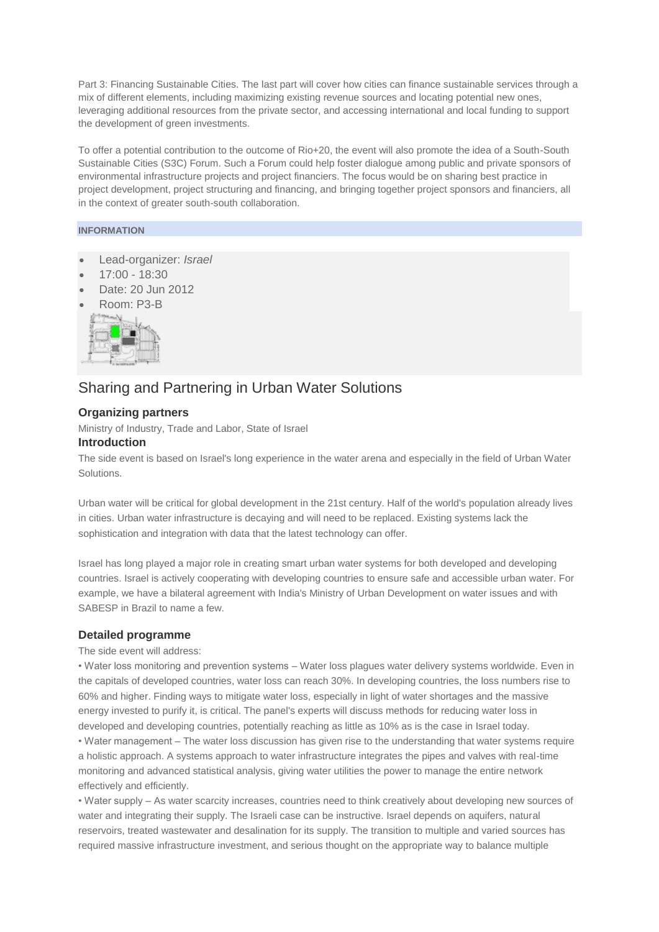Part 3: Financing Sustainable Cities. The last part will cover how cities can finance sustainable services through a mix of different elements, including maximizing existing revenue sources and locating potential new ones, leveraging additional resources from the private sector, and accessing international and local funding to support the development of green investments.

To offer a potential contribution to the outcome of Rio+20, the event will also promote the idea of a South-South Sustainable Cities (S3C) Forum. Such a Forum could help foster dialogue among public and private sponsors of environmental infrastructure projects and project financiers. The focus would be on sharing best practice in project development, project structuring and financing, and bringing together project sponsors and financiers, all in the context of greater south-south collaboration.

#### **INFORMATION**

- Lead-organizer: *Israel*
- 17:00 18:30
- Date: 20 Jun 2012
- Room: P3-B



# Sharing and Partnering in Urban Water Solutions

#### **Organizing partners**

Ministry of Industry, Trade and Labor, State of Israel

## **Introduction**

The side event is based on Israel's long experience in the water arena and especially in the field of Urban Water Solutions.

Urban water will be critical for global development in the 21st century. Half of the world's population already lives in cities. Urban water infrastructure is decaying and will need to be replaced. Existing systems lack the sophistication and integration with data that the latest technology can offer.

Israel has long played a major role in creating smart urban water systems for both developed and developing countries. Israel is actively cooperating with developing countries to ensure safe and accessible urban water. For example, we have a bilateral agreement with India's Ministry of Urban Development on water issues and with SABESP in Brazil to name a few.

#### **Detailed programme**

The side event will address:

• Water loss monitoring and prevention systems – Water loss plagues water delivery systems worldwide. Even in the capitals of developed countries, water loss can reach 30%. In developing countries, the loss numbers rise to 60% and higher. Finding ways to mitigate water loss, especially in light of water shortages and the massive energy invested to purify it, is critical. The panel's experts will discuss methods for reducing water loss in developed and developing countries, potentially reaching as little as 10% as is the case in Israel today.

• Water management – The water loss discussion has given rise to the understanding that water systems require a holistic approach. A systems approach to water infrastructure integrates the pipes and valves with real-time monitoring and advanced statistical analysis, giving water utilities the power to manage the entire network effectively and efficiently.

• Water supply – As water scarcity increases, countries need to think creatively about developing new sources of water and integrating their supply. The Israeli case can be instructive. Israel depends on aquifers, natural reservoirs, treated wastewater and desalination for its supply. The transition to multiple and varied sources has required massive infrastructure investment, and serious thought on the appropriate way to balance multiple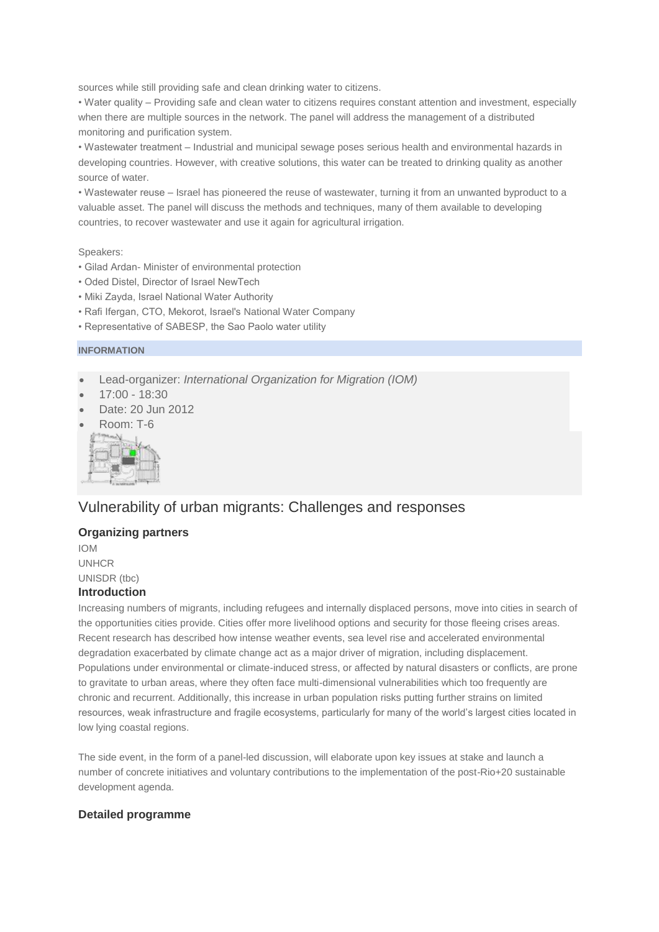sources while still providing safe and clean drinking water to citizens.

• Water quality – Providing safe and clean water to citizens requires constant attention and investment, especially when there are multiple sources in the network. The panel will address the management of a distributed monitoring and purification system.

• Wastewater treatment – Industrial and municipal sewage poses serious health and environmental hazards in developing countries. However, with creative solutions, this water can be treated to drinking quality as another source of water.

• Wastewater reuse – Israel has pioneered the reuse of wastewater, turning it from an unwanted byproduct to a valuable asset. The panel will discuss the methods and techniques, many of them available to developing countries, to recover wastewater and use it again for agricultural irrigation.

Speakers:

- Gilad Ardan- Minister of environmental protection
- Oded Distel, Director of Israel NewTech
- Miki Zayda, Israel National Water Authority
- Rafi Ifergan, CTO, Mekorot, Israel's National Water Company
- Representative of SABESP, the Sao Paolo water utility

#### **INFORMATION**

- Lead-organizer: *International Organization for Migration (IOM)*
- 17:00 18:30
- Date: 20 Jun 2012
- Room: T-6



# Vulnerability of urban migrants: Challenges and responses

## **Organizing partners**

IOM UNHCR UNISDR (tbc)

## **Introduction**

Increasing numbers of migrants, including refugees and internally displaced persons, move into cities in search of the opportunities cities provide. Cities offer more livelihood options and security for those fleeing crises areas. Recent research has described how intense weather events, sea level rise and accelerated environmental degradation exacerbated by climate change act as a major driver of migration, including displacement. Populations under environmental or climate-induced stress, or affected by natural disasters or conflicts, are prone to gravitate to urban areas, where they often face multi-dimensional vulnerabilities which too frequently are chronic and recurrent. Additionally, this increase in urban population risks putting further strains on limited resources, weak infrastructure and fragile ecosystems, particularly for many of the world's largest cities located in low lying coastal regions.

The side event, in the form of a panel-led discussion, will elaborate upon key issues at stake and launch a number of concrete initiatives and voluntary contributions to the implementation of the post-Rio+20 sustainable development agenda.

#### **Detailed programme**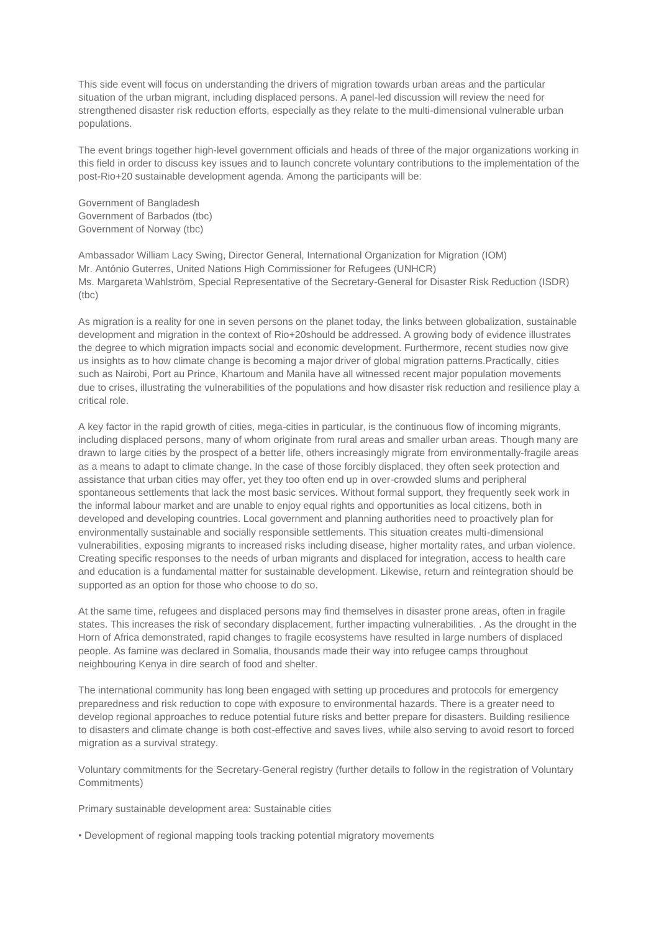This side event will focus on understanding the drivers of migration towards urban areas and the particular situation of the urban migrant, including displaced persons. A panel-led discussion will review the need for strengthened disaster risk reduction efforts, especially as they relate to the multi-dimensional vulnerable urban populations.

The event brings together high-level government officials and heads of three of the major organizations working in this field in order to discuss key issues and to launch concrete voluntary contributions to the implementation of the post-Rio+20 sustainable development agenda. Among the participants will be:

Government of Bangladesh Government of Barbados (tbc) Government of Norway (tbc)

Ambassador William Lacy Swing, Director General, International Organization for Migration (IOM) Mr. António Guterres, United Nations High Commissioner for Refugees (UNHCR) Ms. Margareta Wahlström, Special Representative of the Secretary-General for Disaster Risk Reduction (ISDR) (tbc)

As migration is a reality for one in seven persons on the planet today, the links between globalization, sustainable development and migration in the context of Rio+20should be addressed. A growing body of evidence illustrates the degree to which migration impacts social and economic development. Furthermore, recent studies now give us insights as to how climate change is becoming a major driver of global migration patterns.Practically, cities such as Nairobi, Port au Prince, Khartoum and Manila have all witnessed recent major population movements due to crises, illustrating the vulnerabilities of the populations and how disaster risk reduction and resilience play a critical role.

A key factor in the rapid growth of cities, mega-cities in particular, is the continuous flow of incoming migrants, including displaced persons, many of whom originate from rural areas and smaller urban areas. Though many are drawn to large cities by the prospect of a better life, others increasingly migrate from environmentally-fragile areas as a means to adapt to climate change. In the case of those forcibly displaced, they often seek protection and assistance that urban cities may offer, yet they too often end up in over-crowded slums and peripheral spontaneous settlements that lack the most basic services. Without formal support, they frequently seek work in the informal labour market and are unable to enjoy equal rights and opportunities as local citizens, both in developed and developing countries. Local government and planning authorities need to proactively plan for environmentally sustainable and socially responsible settlements. This situation creates multi-dimensional vulnerabilities, exposing migrants to increased risks including disease, higher mortality rates, and urban violence. Creating specific responses to the needs of urban migrants and displaced for integration, access to health care and education is a fundamental matter for sustainable development. Likewise, return and reintegration should be supported as an option for those who choose to do so.

At the same time, refugees and displaced persons may find themselves in disaster prone areas, often in fragile states. This increases the risk of secondary displacement, further impacting vulnerabilities. . As the drought in the Horn of Africa demonstrated, rapid changes to fragile ecosystems have resulted in large numbers of displaced people. As famine was declared in Somalia, thousands made their way into refugee camps throughout neighbouring Kenya in dire search of food and shelter.

The international community has long been engaged with setting up procedures and protocols for emergency preparedness and risk reduction to cope with exposure to environmental hazards. There is a greater need to develop regional approaches to reduce potential future risks and better prepare for disasters. Building resilience to disasters and climate change is both cost-effective and saves lives, while also serving to avoid resort to forced migration as a survival strategy.

Voluntary commitments for the Secretary-General registry (further details to follow in the registration of Voluntary Commitments)

Primary sustainable development area: Sustainable cities

• Development of regional mapping tools tracking potential migratory movements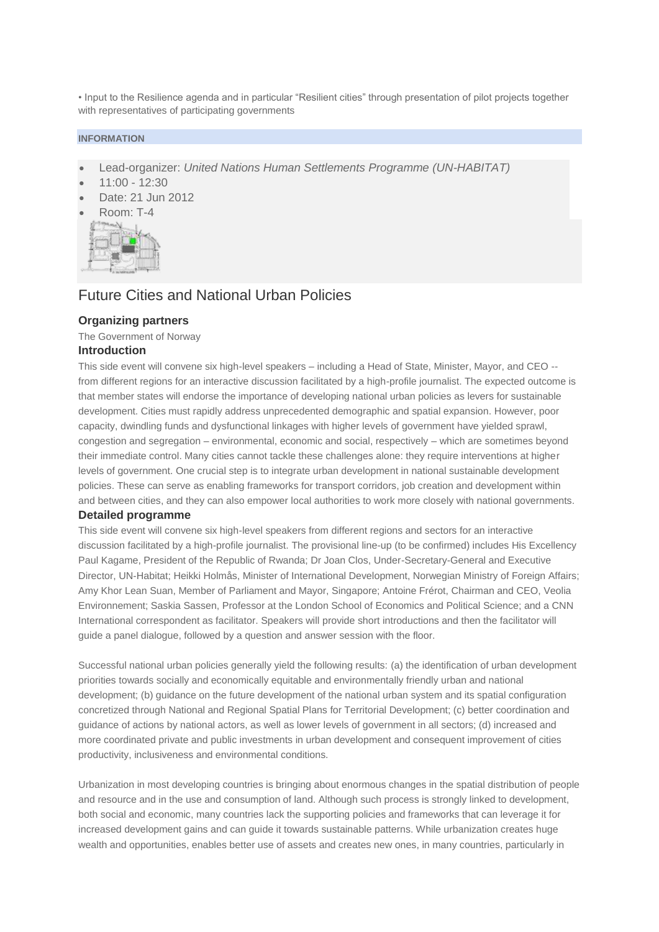• Input to the Resilience agenda and in particular "Resilient cities" through presentation of pilot projects together with representatives of participating governments

#### **INFORMATION**

- Lead-organizer: *United Nations Human Settlements Programme (UN-HABITAT)*
- 11:00 12:30
- Date: 21 Jun 2012
- Room: T-4



## Future Cities and National Urban Policies

#### **Organizing partners**

The Government of Norway **Introduction**

This side event will convene six high-level speakers – including a Head of State, Minister, Mayor, and CEO - from different regions for an interactive discussion facilitated by a high-profile journalist. The expected outcome is that member states will endorse the importance of developing national urban policies as levers for sustainable development. Cities must rapidly address unprecedented demographic and spatial expansion. However, poor capacity, dwindling funds and dysfunctional linkages with higher levels of government have yielded sprawl, congestion and segregation – environmental, economic and social, respectively – which are sometimes beyond their immediate control. Many cities cannot tackle these challenges alone: they require interventions at higher levels of government. One crucial step is to integrate urban development in national sustainable development policies. These can serve as enabling frameworks for transport corridors, job creation and development within and between cities, and they can also empower local authorities to work more closely with national governments.

#### **Detailed programme**

This side event will convene six high-level speakers from different regions and sectors for an interactive discussion facilitated by a high-profile journalist. The provisional line-up (to be confirmed) includes His Excellency Paul Kagame, President of the Republic of Rwanda; Dr Joan Clos, Under-Secretary-General and Executive Director, UN-Habitat; Heikki Holmås, Minister of International Development, Norwegian Ministry of Foreign Affairs; Amy Khor Lean Suan, Member of Parliament and Mayor, Singapore; Antoine Frérot, Chairman and CEO, Veolia Environnement; Saskia Sassen, Professor at the London School of Economics and Political Science; and a CNN International correspondent as facilitator. Speakers will provide short introductions and then the facilitator will guide a panel dialogue, followed by a question and answer session with the floor.

Successful national urban policies generally yield the following results: (a) the identification of urban development priorities towards socially and economically equitable and environmentally friendly urban and national development; (b) guidance on the future development of the national urban system and its spatial configuration concretized through National and Regional Spatial Plans for Territorial Development; (c) better coordination and guidance of actions by national actors, as well as lower levels of government in all sectors; (d) increased and more coordinated private and public investments in urban development and consequent improvement of cities productivity, inclusiveness and environmental conditions.

Urbanization in most developing countries is bringing about enormous changes in the spatial distribution of people and resource and in the use and consumption of land. Although such process is strongly linked to development, both social and economic, many countries lack the supporting policies and frameworks that can leverage it for increased development gains and can guide it towards sustainable patterns. While urbanization creates huge wealth and opportunities, enables better use of assets and creates new ones, in many countries, particularly in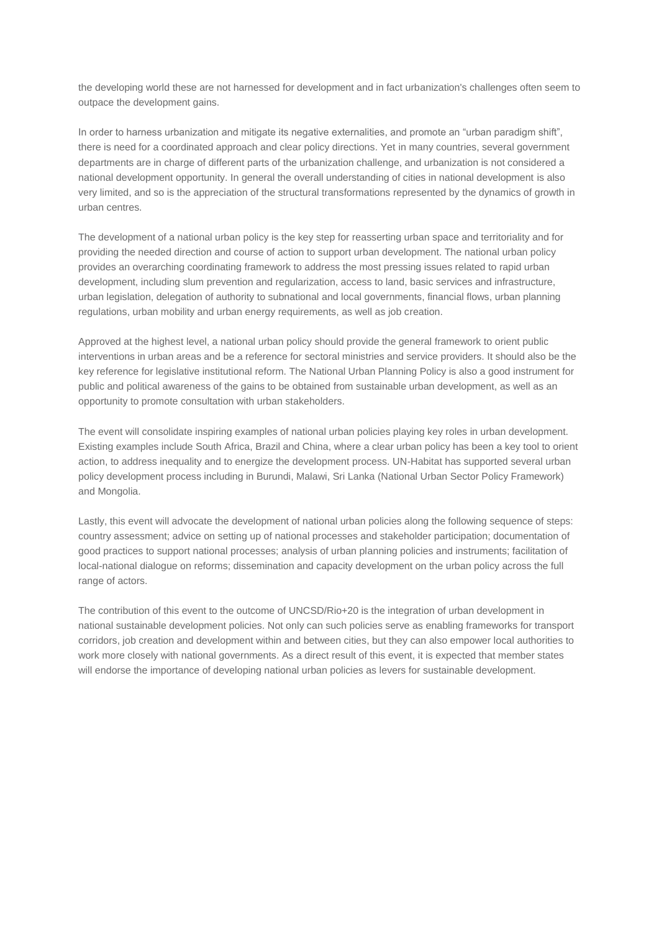the developing world these are not harnessed for development and in fact urbanization's challenges often seem to outpace the development gains.

In order to harness urbanization and mitigate its negative externalities, and promote an "urban paradigm shift", there is need for a coordinated approach and clear policy directions. Yet in many countries, several government departments are in charge of different parts of the urbanization challenge, and urbanization is not considered a national development opportunity. In general the overall understanding of cities in national development is also very limited, and so is the appreciation of the structural transformations represented by the dynamics of growth in urban centres.

The development of a national urban policy is the key step for reasserting urban space and territoriality and for providing the needed direction and course of action to support urban development. The national urban policy provides an overarching coordinating framework to address the most pressing issues related to rapid urban development, including slum prevention and regularization, access to land, basic services and infrastructure, urban legislation, delegation of authority to subnational and local governments, financial flows, urban planning regulations, urban mobility and urban energy requirements, as well as job creation.

Approved at the highest level, a national urban policy should provide the general framework to orient public interventions in urban areas and be a reference for sectoral ministries and service providers. It should also be the key reference for legislative institutional reform. The National Urban Planning Policy is also a good instrument for public and political awareness of the gains to be obtained from sustainable urban development, as well as an opportunity to promote consultation with urban stakeholders.

The event will consolidate inspiring examples of national urban policies playing key roles in urban development. Existing examples include South Africa, Brazil and China, where a clear urban policy has been a key tool to orient action, to address inequality and to energize the development process. UN-Habitat has supported several urban policy development process including in Burundi, Malawi, Sri Lanka (National Urban Sector Policy Framework) and Mongolia.

Lastly, this event will advocate the development of national urban policies along the following sequence of steps: country assessment; advice on setting up of national processes and stakeholder participation; documentation of good practices to support national processes; analysis of urban planning policies and instruments; facilitation of local-national dialogue on reforms; dissemination and capacity development on the urban policy across the full range of actors.

The contribution of this event to the outcome of UNCSD/Rio+20 is the integration of urban development in national sustainable development policies. Not only can such policies serve as enabling frameworks for transport corridors, job creation and development within and between cities, but they can also empower local authorities to work more closely with national governments. As a direct result of this event, it is expected that member states will endorse the importance of developing national urban policies as levers for sustainable development.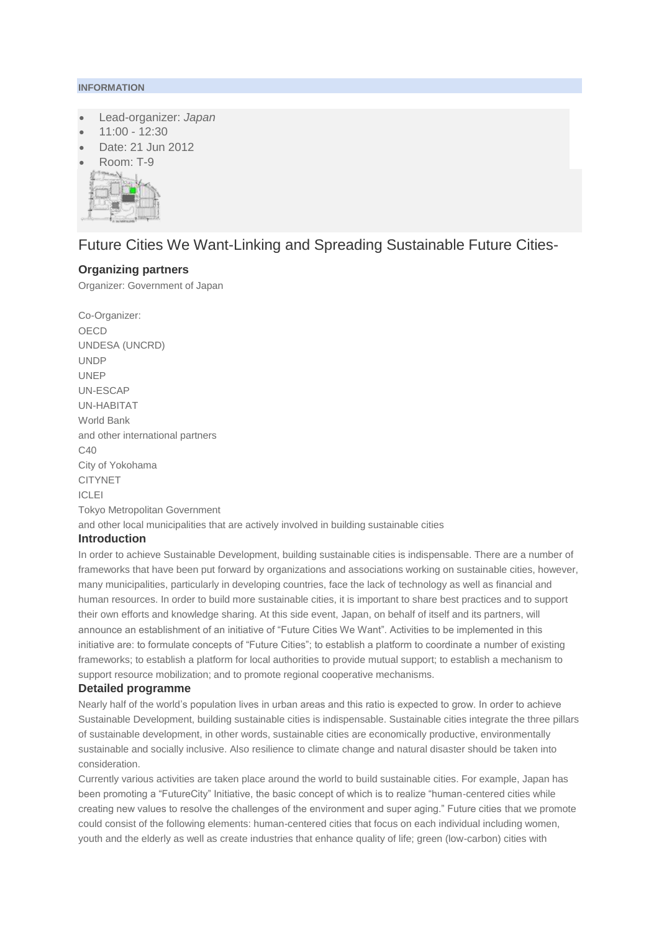#### **INFORMATION**

- Lead-organizer: *Japan*
- 11:00 12:30
- Date: 21 Jun 2012
- Room: T-9



# Future Cities We Want-Linking and Spreading Sustainable Future Cities-

### **Organizing partners**

Organizer: Government of Japan

Co-Organizer: OECD UNDESA (UNCRD) UNDP UNEP UN-ESCAP UN-HABITAT World Bank and other international partners C40 City of Yokohama CITYNET ICLEI Tokyo Metropolitan Government and other local municipalities that are actively involved in building sustainable cities **Introduction**

In order to achieve Sustainable Development, building sustainable cities is indispensable. There are a number of frameworks that have been put forward by organizations and associations working on sustainable cities, however, many municipalities, particularly in developing countries, face the lack of technology as well as financial and human resources. In order to build more sustainable cities, it is important to share best practices and to support their own efforts and knowledge sharing. At this side event, Japan, on behalf of itself and its partners, will announce an establishment of an initiative of "Future Cities We Want". Activities to be implemented in this initiative are: to formulate concepts of "Future Cities"; to establish a platform to coordinate a number of existing frameworks; to establish a platform for local authorities to provide mutual support; to establish a mechanism to support resource mobilization; and to promote regional cooperative mechanisms.

#### **Detailed programme**

Nearly half of the world's population lives in urban areas and this ratio is expected to grow. In order to achieve Sustainable Development, building sustainable cities is indispensable. Sustainable cities integrate the three pillars of sustainable development, in other words, sustainable cities are economically productive, environmentally sustainable and socially inclusive. Also resilience to climate change and natural disaster should be taken into consideration.

Currently various activities are taken place around the world to build sustainable cities. For example, Japan has been promoting a "FutureCity" Initiative, the basic concept of which is to realize "human-centered cities while creating new values to resolve the challenges of the environment and super aging." Future cities that we promote could consist of the following elements: human-centered cities that focus on each individual including women, youth and the elderly as well as create industries that enhance quality of life; green (low-carbon) cities with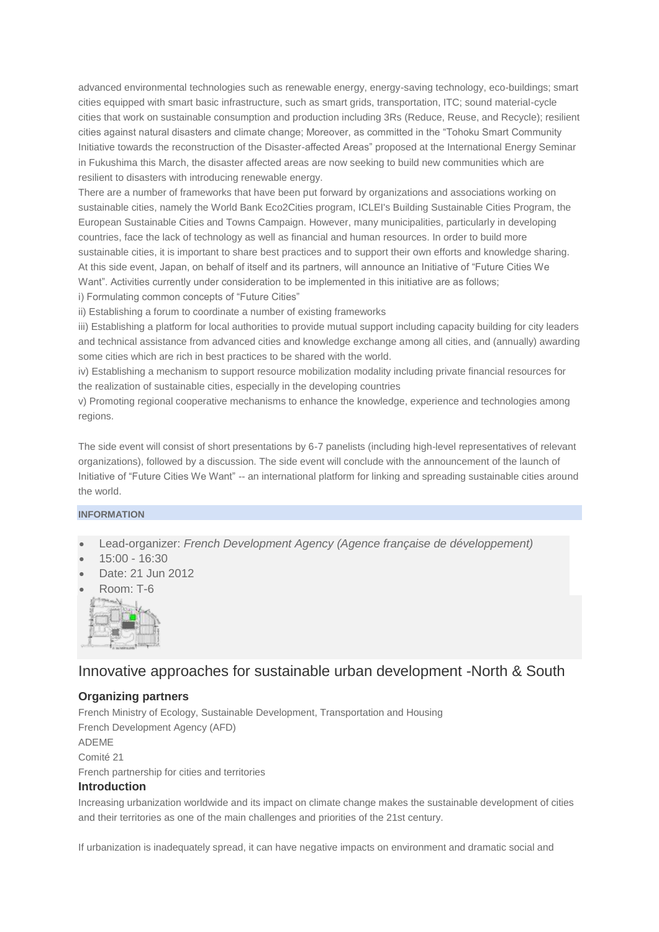advanced environmental technologies such as renewable energy, energy-saving technology, eco-buildings; smart cities equipped with smart basic infrastructure, such as smart grids, transportation, ITC; sound material-cycle cities that work on sustainable consumption and production including 3Rs (Reduce, Reuse, and Recycle); resilient cities against natural disasters and climate change; Moreover, as committed in the "Tohoku Smart Community Initiative towards the reconstruction of the Disaster-affected Areas" proposed at the International Energy Seminar in Fukushima this March, the disaster affected areas are now seeking to build new communities which are resilient to disasters with introducing renewable energy.

There are a number of frameworks that have been put forward by organizations and associations working on sustainable cities, namely the World Bank Eco2Cities program, ICLEI's Building Sustainable Cities Program, the European Sustainable Cities and Towns Campaign. However, many municipalities, particularly in developing countries, face the lack of technology as well as financial and human resources. In order to build more sustainable cities, it is important to share best practices and to support their own efforts and knowledge sharing. At this side event, Japan, on behalf of itself and its partners, will announce an Initiative of "Future Cities We Want". Activities currently under consideration to be implemented in this initiative are as follows; i) Formulating common concepts of "Future Cities"

ii) Establishing a forum to coordinate a number of existing frameworks

iii) Establishing a platform for local authorities to provide mutual support including capacity building for city leaders and technical assistance from advanced cities and knowledge exchange among all cities, and (annually) awarding some cities which are rich in best practices to be shared with the world.

iv) Establishing a mechanism to support resource mobilization modality including private financial resources for the realization of sustainable cities, especially in the developing countries

v) Promoting regional cooperative mechanisms to enhance the knowledge, experience and technologies among regions.

The side event will consist of short presentations by 6-7 panelists (including high-level representatives of relevant organizations), followed by a discussion. The side event will conclude with the announcement of the launch of Initiative of "Future Cities We Want" -- an international platform for linking and spreading sustainable cities around the world.

### **INFORMATION**

- Lead-organizer: *French Development Agency (Agence française de développement)*
- 15:00 16:30
- Date: 21 Jun 2012
- Room: T-6



## Innovative approaches for sustainable urban development -North & South

## **Organizing partners**

French Ministry of Ecology, Sustainable Development, Transportation and Housing French Development Agency (AFD) ADEME Comité 21 French partnership for cities and territories **Introduction**

Increasing urbanization worldwide and its impact on climate change makes the sustainable development of cities and their territories as one of the main challenges and priorities of the 21st century.

If urbanization is inadequately spread, it can have negative impacts on environment and dramatic social and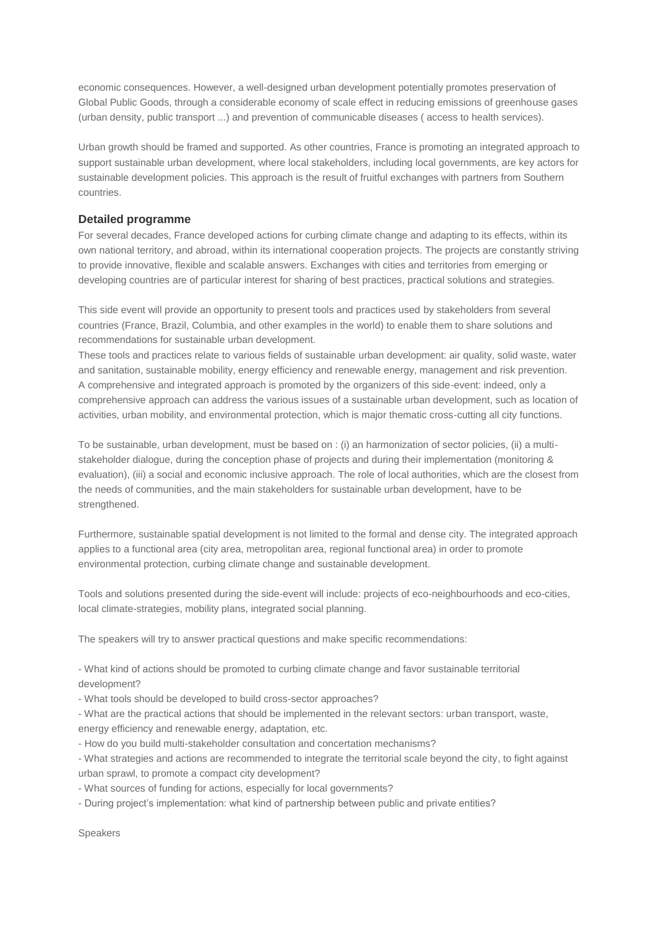economic consequences. However, a well-designed urban development potentially promotes preservation of Global Public Goods, through a considerable economy of scale effect in reducing emissions of greenhouse gases (urban density, public transport ...) and prevention of communicable diseases ( access to health services).

Urban growth should be framed and supported. As other countries, France is promoting an integrated approach to support sustainable urban development, where local stakeholders, including local governments, are key actors for sustainable development policies. This approach is the result of fruitful exchanges with partners from Southern countries.

#### **Detailed programme**

For several decades, France developed actions for curbing climate change and adapting to its effects, within its own national territory, and abroad, within its international cooperation projects. The projects are constantly striving to provide innovative, flexible and scalable answers. Exchanges with cities and territories from emerging or developing countries are of particular interest for sharing of best practices, practical solutions and strategies.

This side event will provide an opportunity to present tools and practices used by stakeholders from several countries (France, Brazil, Columbia, and other examples in the world) to enable them to share solutions and recommendations for sustainable urban development.

These tools and practices relate to various fields of sustainable urban development: air quality, solid waste, water and sanitation, sustainable mobility, energy efficiency and renewable energy, management and risk prevention. A comprehensive and integrated approach is promoted by the organizers of this side-event: indeed, only a comprehensive approach can address the various issues of a sustainable urban development, such as location of activities, urban mobility, and environmental protection, which is major thematic cross-cutting all city functions.

To be sustainable, urban development, must be based on : (i) an harmonization of sector policies, (ii) a multistakeholder dialogue, during the conception phase of projects and during their implementation (monitoring & evaluation), (iii) a social and economic inclusive approach. The role of local authorities, which are the closest from the needs of communities, and the main stakeholders for sustainable urban development, have to be strengthened.

Furthermore, sustainable spatial development is not limited to the formal and dense city. The integrated approach applies to a functional area (city area, metropolitan area, regional functional area) in order to promote environmental protection, curbing climate change and sustainable development.

Tools and solutions presented during the side-event will include: projects of eco-neighbourhoods and eco-cities, local climate-strategies, mobility plans, integrated social planning.

The speakers will try to answer practical questions and make specific recommendations:

- What kind of actions should be promoted to curbing climate change and favor sustainable territorial development?

- What tools should be developed to build cross-sector approaches?

- What are the practical actions that should be implemented in the relevant sectors: urban transport, waste, energy efficiency and renewable energy, adaptation, etc.

- How do you build multi-stakeholder consultation and concertation mechanisms?

- What strategies and actions are recommended to integrate the territorial scale beyond the city, to fight against urban sprawl, to promote a compact city development?

- What sources of funding for actions, especially for local governments?

- During project's implementation: what kind of partnership between public and private entities?

Speakers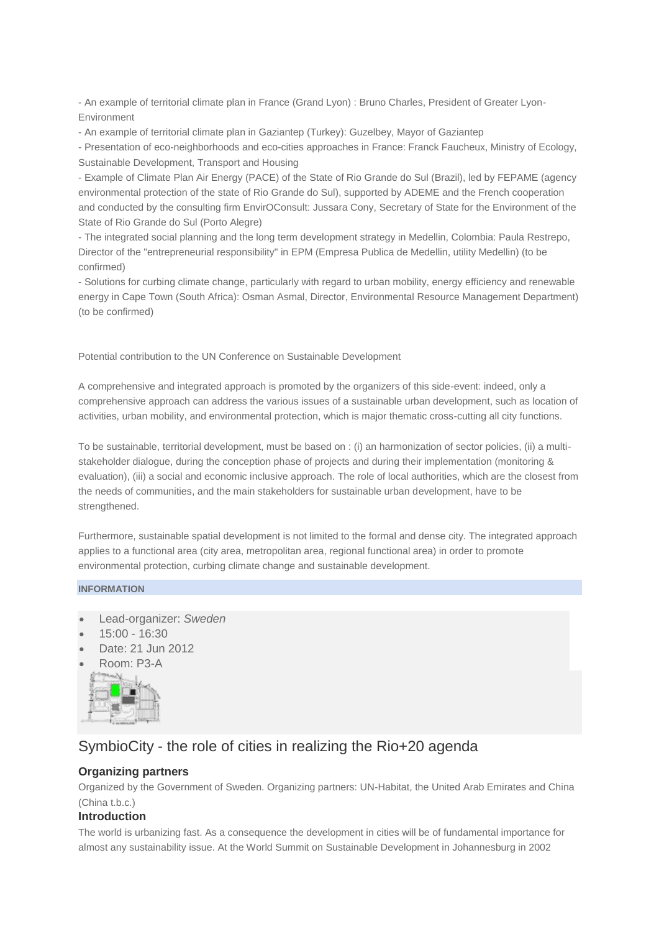- An example of territorial climate plan in France (Grand Lyon) : Bruno Charles, President of Greater Lyon-Environment

- An example of territorial climate plan in Gaziantep (Turkey): Guzelbey, Mayor of Gaziantep

- Presentation of eco-neighborhoods and eco-cities approaches in France: Franck Faucheux, Ministry of Ecology, Sustainable Development, Transport and Housing

- Example of Climate Plan Air Energy (PACE) of the State of Rio Grande do Sul (Brazil), led by FEPAME (agency environmental protection of the state of Rio Grande do Sul), supported by ADEME and the French cooperation and conducted by the consulting firm EnvirOConsult: Jussara Cony, Secretary of State for the Environment of the State of Rio Grande do Sul (Porto Alegre)

- The integrated social planning and the long term development strategy in Medellin, Colombia: Paula Restrepo, Director of the "entrepreneurial responsibility" in EPM (Empresa Publica de Medellin, utility Medellin) (to be confirmed)

- Solutions for curbing climate change, particularly with regard to urban mobility, energy efficiency and renewable energy in Cape Town (South Africa): Osman Asmal, Director, Environmental Resource Management Department) (to be confirmed)

Potential contribution to the UN Conference on Sustainable Development

A comprehensive and integrated approach is promoted by the organizers of this side-event: indeed, only a comprehensive approach can address the various issues of a sustainable urban development, such as location of activities, urban mobility, and environmental protection, which is major thematic cross-cutting all city functions.

To be sustainable, territorial development, must be based on : (i) an harmonization of sector policies, (ii) a multistakeholder dialogue, during the conception phase of projects and during their implementation (monitoring & evaluation), (iii) a social and economic inclusive approach. The role of local authorities, which are the closest from the needs of communities, and the main stakeholders for sustainable urban development, have to be strengthened.

Furthermore, sustainable spatial development is not limited to the formal and dense city. The integrated approach applies to a functional area (city area, metropolitan area, regional functional area) in order to promote environmental protection, curbing climate change and sustainable development.

#### **INFORMATION**

- Lead-organizer: *Sweden*
- 15:00 16:30
- Date: 21 Jun 2012
- Room: P3-A



## SymbioCity - the role of cities in realizing the Rio+20 agenda

## **Organizing partners**

Organized by the Government of Sweden. Organizing partners: UN-Habitat, the United Arab Emirates and China (China t.b.c.)

### **Introduction**

The world is urbanizing fast. As a consequence the development in cities will be of fundamental importance for almost any sustainability issue. At the World Summit on Sustainable Development in Johannesburg in 2002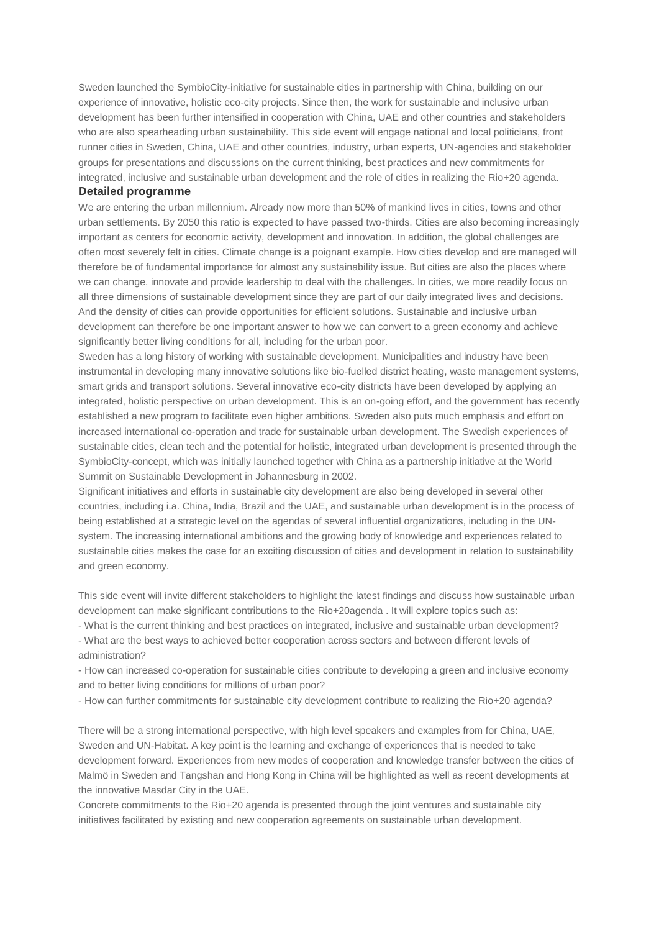Sweden launched the SymbioCity-initiative for sustainable cities in partnership with China, building on our experience of innovative, holistic eco-city projects. Since then, the work for sustainable and inclusive urban development has been further intensified in cooperation with China, UAE and other countries and stakeholders who are also spearheading urban sustainability. This side event will engage national and local politicians, front runner cities in Sweden, China, UAE and other countries, industry, urban experts, UN-agencies and stakeholder groups for presentations and discussions on the current thinking, best practices and new commitments for integrated, inclusive and sustainable urban development and the role of cities in realizing the Rio+20 agenda. **Detailed programme**

## We are entering the urban millennium. Already now more than 50% of mankind lives in cities, towns and other urban settlements. By 2050 this ratio is expected to have passed two-thirds. Cities are also becoming increasingly important as centers for economic activity, development and innovation. In addition, the global challenges are often most severely felt in cities. Climate change is a poignant example. How cities develop and are managed will therefore be of fundamental importance for almost any sustainability issue. But cities are also the places where we can change, innovate and provide leadership to deal with the challenges. In cities, we more readily focus on all three dimensions of sustainable development since they are part of our daily integrated lives and decisions. And the density of cities can provide opportunities for efficient solutions. Sustainable and inclusive urban development can therefore be one important answer to how we can convert to a green economy and achieve

significantly better living conditions for all, including for the urban poor.

Sweden has a long history of working with sustainable development. Municipalities and industry have been instrumental in developing many innovative solutions like bio-fuelled district heating, waste management systems, smart grids and transport solutions. Several innovative eco-city districts have been developed by applying an integrated, holistic perspective on urban development. This is an on-going effort, and the government has recently established a new program to facilitate even higher ambitions. Sweden also puts much emphasis and effort on increased international co-operation and trade for sustainable urban development. The Swedish experiences of sustainable cities, clean tech and the potential for holistic, integrated urban development is presented through the SymbioCity-concept, which was initially launched together with China as a partnership initiative at the World Summit on Sustainable Development in Johannesburg in 2002.

Significant initiatives and efforts in sustainable city development are also being developed in several other countries, including i.a. China, India, Brazil and the UAE, and sustainable urban development is in the process of being established at a strategic level on the agendas of several influential organizations, including in the UNsystem. The increasing international ambitions and the growing body of knowledge and experiences related to sustainable cities makes the case for an exciting discussion of cities and development in relation to sustainability and green economy.

This side event will invite different stakeholders to highlight the latest findings and discuss how sustainable urban development can make significant contributions to the Rio+20agenda . It will explore topics such as:

- What is the current thinking and best practices on integrated, inclusive and sustainable urban development? - What are the best ways to achieved better cooperation across sectors and between different levels of administration?

- How can increased co-operation for sustainable cities contribute to developing a green and inclusive economy and to better living conditions for millions of urban poor?

- How can further commitments for sustainable city development contribute to realizing the Rio+20 agenda?

There will be a strong international perspective, with high level speakers and examples from for China, UAE, Sweden and UN-Habitat. A key point is the learning and exchange of experiences that is needed to take development forward. Experiences from new modes of cooperation and knowledge transfer between the cities of Malmö in Sweden and Tangshan and Hong Kong in China will be highlighted as well as recent developments at the innovative Masdar City in the UAE.

Concrete commitments to the Rio+20 agenda is presented through the joint ventures and sustainable city initiatives facilitated by existing and new cooperation agreements on sustainable urban development.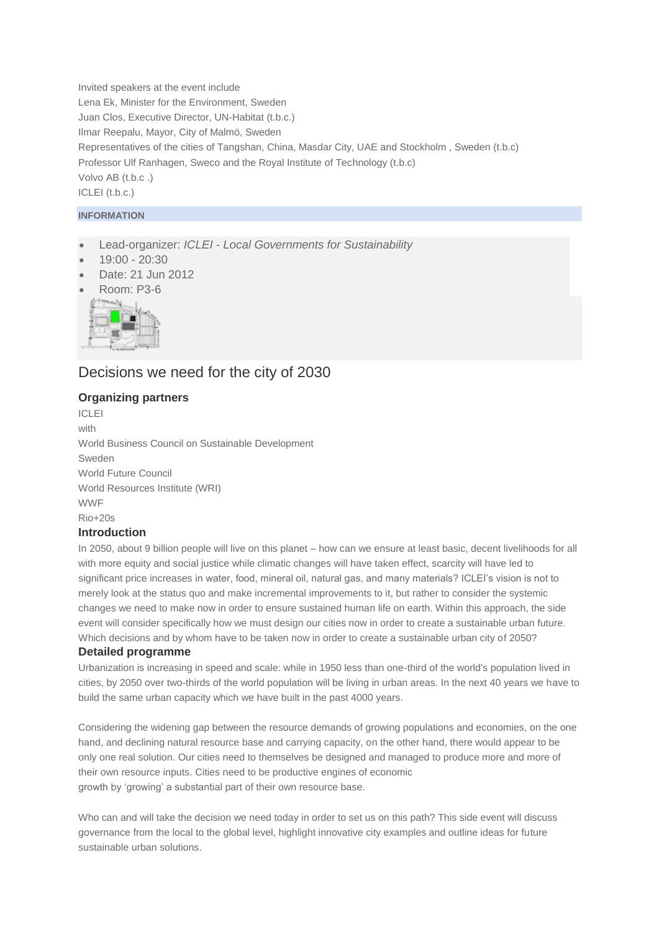Invited speakers at the event include Lena Ek, Minister for the Environment, Sweden Juan Clos, Executive Director, UN-Habitat (t.b.c.) Ilmar Reepalu, Mayor, City of Malmö, Sweden Representatives of the cities of Tangshan, China, Masdar City, UAE and Stockholm , Sweden (t.b.c) Professor Ulf Ranhagen, Sweco and the Royal Institute of Technology (t.b.c) Volvo AB (t.b.c .) ICLEI (t.b.c.)

### **INFORMATION**

- Lead-organizer: *ICLEI - Local Governments for Sustainability*
- 19:00 20:30
- Date: 21 Jun 2012
- Room: P3-6



## Decisions we need for the city of 2030

## **Organizing partners**

ICLEI with World Business Council on Sustainable Development Sweden World Future Council World Resources Institute (WRI) WWF Rio+20s **Introduction**

In 2050, about 9 billion people will live on this planet – how can we ensure at least basic, decent livelihoods for all with more equity and social justice while climatic changes will have taken effect, scarcity will have led to significant price increases in water, food, mineral oil, natural gas, and many materials? ICLEI's vision is not to merely look at the status quo and make incremental improvements to it, but rather to consider the systemic changes we need to make now in order to ensure sustained human life on earth. Within this approach, the side event will consider specifically how we must design our cities now in order to create a sustainable urban future. Which decisions and by whom have to be taken now in order to create a sustainable urban city of 2050? **Detailed programme**

Urbanization is increasing in speed and scale: while in 1950 less than one-third of the world's population lived in cities, by 2050 over two-thirds of the world population will be living in urban areas. In the next 40 years we have to build the same urban capacity which we have built in the past 4000 years.

Considering the widening gap between the resource demands of growing populations and economies, on the one hand, and declining natural resource base and carrying capacity, on the other hand, there would appear to be only one real solution. Our cities need to themselves be designed and managed to produce more and more of their own resource inputs. Cities need to be productive engines of economic growth by 'growing' a substantial part of their own resource base.

Who can and will take the decision we need today in order to set us on this path? This side event will discuss governance from the local to the global level, highlight innovative city examples and outline ideas for future sustainable urban solutions.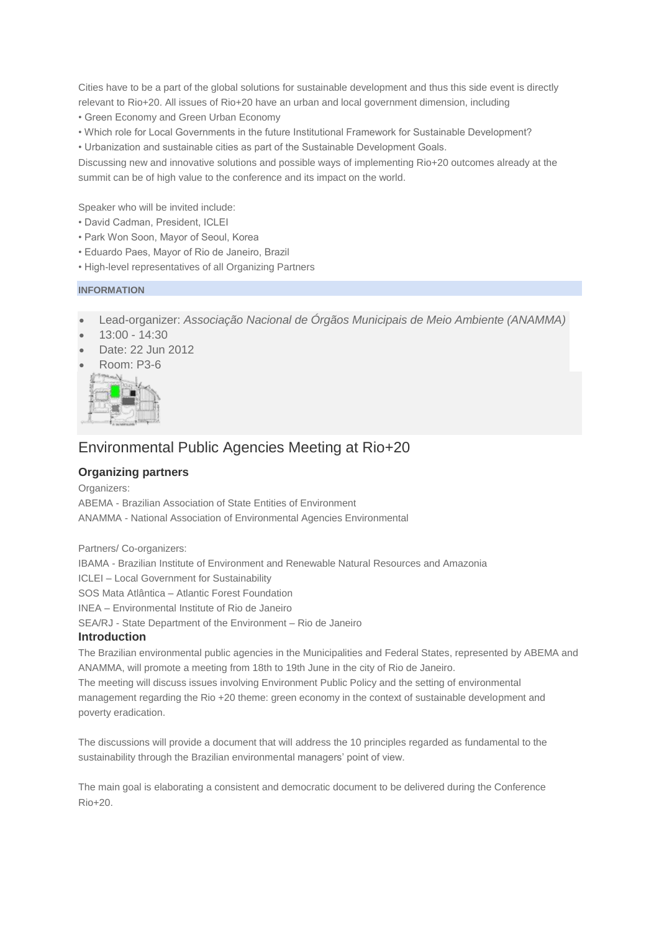Cities have to be a part of the global solutions for sustainable development and thus this side event is directly relevant to Rio+20. All issues of Rio+20 have an urban and local government dimension, including

- Green Economy and Green Urban Economy
- Which role for Local Governments in the future Institutional Framework for Sustainable Development?
- Urbanization and sustainable cities as part of the Sustainable Development Goals.

Discussing new and innovative solutions and possible ways of implementing Rio+20 outcomes already at the summit can be of high value to the conference and its impact on the world.

Speaker who will be invited include:

- David Cadman, President, ICLEI
- Park Won Soon, Mayor of Seoul, Korea
- Eduardo Paes, Mayor of Rio de Janeiro, Brazil
- High-level representatives of all Organizing Partners

#### **INFORMATION**

- Lead-organizer: *Associação Nacional de Órgãos Municipais de Meio Ambiente (ANAMMA)*
- 13:00 14:30
- Date: 22 Jun 2012
- Room: P3-6



## Environmental Public Agencies Meeting at Rio+20

### **Organizing partners**

Organizers:

ABEMA - Brazilian Association of State Entities of Environment ANAMMA - National Association of Environmental Agencies Environmental

Partners/ Co-organizers:

IBAMA - Brazilian Institute of Environment and Renewable Natural Resources and Amazonia ICLEI – Local Government for Sustainability SOS Mata Atlântica – Atlantic Forest Foundation INEA – Environmental Institute of Rio de Janeiro SEA/RJ - State Department of the Environment – Rio de Janeiro

#### **Introduction**

The Brazilian environmental public agencies in the Municipalities and Federal States, represented by ABEMA and ANAMMA, will promote a meeting from 18th to 19th June in the city of Rio de Janeiro. The meeting will discuss issues involving Environment Public Policy and the setting of environmental management regarding the Rio +20 theme: green economy in the context of sustainable development and

poverty eradication.

The discussions will provide a document that will address the 10 principles regarded as fundamental to the sustainability through the Brazilian environmental managers' point of view.

The main goal is elaborating a consistent and democratic document to be delivered during the Conference Rio+20.